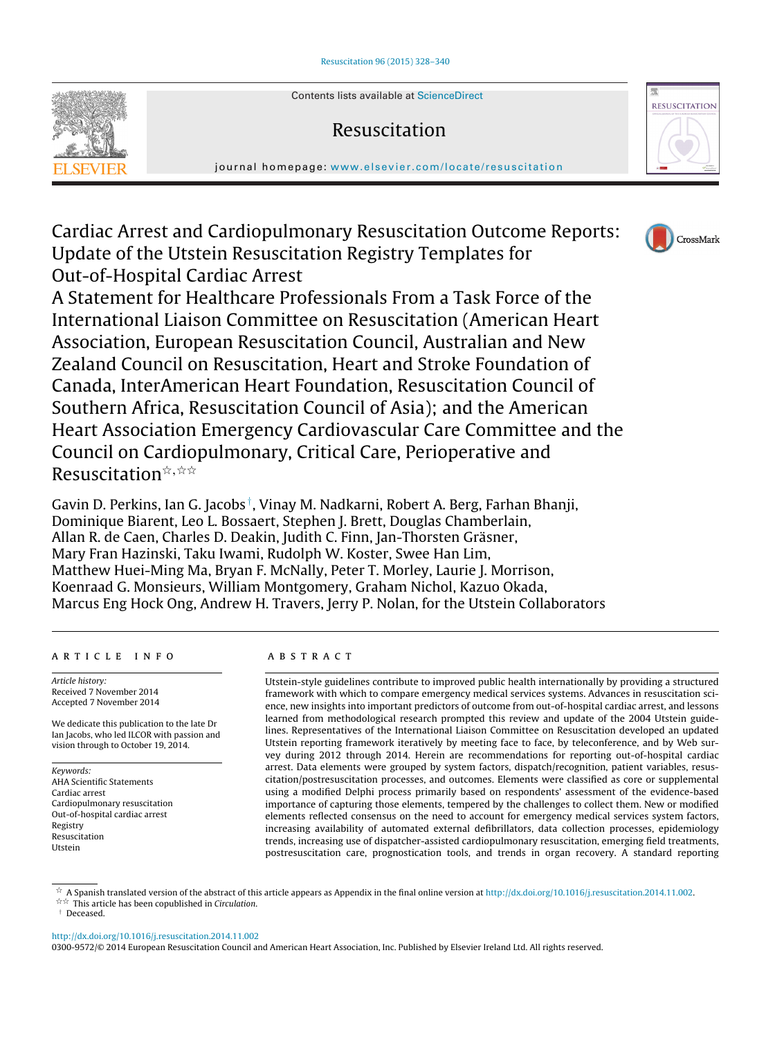Contents lists available at [ScienceDirect](http://www.sciencedirect.com/science/journal/03009572)

# Resuscitation

iournal homepage: [www.elsevier.com/locate/resuscitation](http://www.elsevier.com/locate/resuscitation)

Cardiac Arrest and Cardiopulmonary Resuscitation Outcome Reports: Update of the Utstein Resuscitation Registry Templates for Out-of-Hospital Cardiac Arrest

A Statement for Healthcare Professionals From a Task Force of the International Liaison Committee on Resuscitation (American Heart Association, European Resuscitation Council, Australian and New Zealand Council on Resuscitation, Heart and Stroke Foundation of Canada, InterAmerican Heart Foundation, Resuscitation Council of Southern Africa, Resuscitation Council of Asia); and the American Heart Association Emergency Cardiovascular Care Committee and the Council on Cardiopulmonary, Critical Care, Perioperative and Resuscitation  $\stackrel{\star}{\scriptscriptstyle\star}$ ,  $\stackrel{\star}{\scriptscriptstyle\star}\stackrel{\star}{\scriptscriptstyle\star}$ 

Gavin D. Perkins, Ian G. Jacobs †, Vinay M. Nadkarni, Robert A. Berg, Farhan Bhanji, Dominique Biarent, Leo L. Bossaert, Stephen J. Brett, Douglas Chamberlain, Allan R. de Caen, Charles D. Deakin, Judith C. Finn, Jan-Thorsten Gräsner, Mary Fran Hazinski, Taku Iwami, Rudolph W. Koster, Swee Han Lim, Matthew Huei-Ming Ma, Bryan F. McNally, Peter T. Morley, Laurie J. Morrison, Koenraad G. Monsieurs, William Montgomery, Graham Nichol, Kazuo Okada, Marcus Eng Hock Ong, Andrew H. Travers, Jerry P. Nolan, for the Utstein Collaborators

# a r t i c l e i n f o

Article history: Received 7 November 2014 Accepted 7 November 2014

We dedicate this publication to the late Dr Ian Jacobs, who led ILCOR with passion and vision through to October 19, 2014.

Keywords: AHA Scientific Statements Cardiac arrest Cardiopulmonary resuscitation Out-of-hospital cardiac arrest Registry Resuscitation Utstein

# A B S T R A C T

Utstein-style guidelines contribute to improved public health internationally by providing a structured framework with which to compare emergency medical services systems. Advances in resuscitation science, new insights into important predictors of outcome from out-of-hospital cardiac arrest, and lessons learned from methodological research prompted this review and update of the 2004 Utstein guidelines. Representatives of the International Liaison Committee on Resuscitation developed an updated Utstein reporting framework iteratively by meeting face to face, by teleconference, and by Web survey during 2012 through 2014. Herein are recommendations for reporting out-of-hospital cardiac arrest. Data elements were grouped by system factors, dispatch/recognition, patient variables, resuscitation/postresuscitation processes, and outcomes. Elements were classified as core or supplemental using a modified Delphi process primarily based on respondents' assessment of the evidence-based importance of capturing those elements, tempered by the challenges to collect them. New or modified elements reflected consensus on the need to account for emergency medical services system factors, increasing availability of automated external defibrillators, data collection processes, epidemiology trends, increasing use of dispatcher-assisted cardiopulmonary resuscitation, emerging field treatments, postresuscitation care, prognostication tools, and trends in organ recovery. A standard reporting

 $\hat{\sigma}$  A Spanish translated version of the abstract of this article appears as Appendix in the final online version at [http://dx.doi.org/10.1016/j.resuscitation.2014.11.002.](http://dx.doi.org/10.1016/j.resuscitation.2014.11.002)  $\dot{x}$  This article has been copublished in Circulation.

† Deceased.

[http://dx.doi.org/10.1016/j.resuscitation.2014.11.002](dx.doi.org/10.1016/j.resuscitation.2014.11.002)

0300-9572/© 2014 European Resuscitation Council and American Heart Association, Inc. Published by Elsevier Ireland Ltd. All rights reserved.





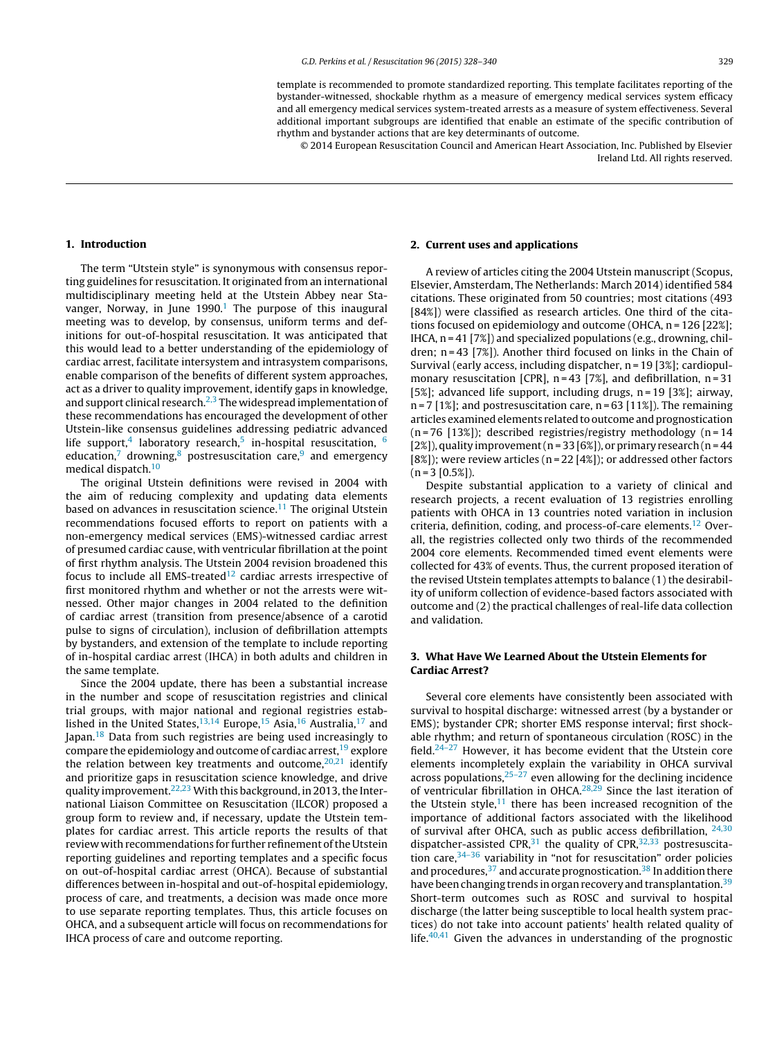template is recommended to promote standardized reporting. This template facilitates reporting of the bystander-witnessed, shockable rhythm as a measure of emergency medical services system efficacy and all emergency medical services system-treated arrests as a measure of system effectiveness. Several additional important subgroups are identified that enable an estimate of the specific contribution of rhythm and bystander actions that are key determinants of outcome.

© 2014 European Resuscitation Council and American Heart Association, Inc. Published by Elsevier Ireland Ltd. All rights reserved.

# **1. Introduction**

The term "Utstein style" is synonymous with consensus reporting guidelines for resuscitation. It originated from an international multidisciplinary meeting held at the Utstein Abbey near Stavanger, Norway, in June  $1990<sup>1</sup>$  $1990<sup>1</sup>$  The purpose of this inaugural meeting was to develop, by consensus, uniform terms and definitions for out-of-hospital resuscitation. It was anticipated that this would lead to a better understanding of the epidemiology of cardiac arrest, facilitate intersystem and intrasystem comparisons, enable comparison of the benefits of different system approaches, act as a driver to quality improvement, identify gaps in knowledge, and support clinical research. $2,3$  The widespread implementation of these recommendations has encouraged the development of other Utstein-like consensus guidelines addressing pediatric advanced life support,<sup>4</sup> laboratory research,<sup>[5](#page-11-0)</sup> in-hospital resuscitation,  $6$ education, $7$  drowning, $8$  postresuscitation care, $9$  and emergency medical dispatch.<sup>10</sup>

The original Utstein definitions were revised in 2004 with the aim of reducing complexity and updating data elements based on advances in resuscitation science. $11$  The original Utstein recommendations focused efforts to report on patients with a non-emergency medical services (EMS)-witnessed cardiac arrest of presumed cardiac cause, with ventricular fibrillation at the point of first rhythm analysis. The Utstein 2004 revision broadened this focus to include all EMS-treated $12$  cardiac arrests irrespective of first monitored rhythm and whether or not the arrests were witnessed. Other major changes in 2004 related to the definition of cardiac arrest (transition from presence/absence of a carotid pulse to signs of circulation), inclusion of defibrillation attempts by bystanders, and extension of the template to include reporting of in-hospital cardiac arrest (IHCA) in both adults and children in the same template.

Since the 2004 update, there has been a substantial increase in the number and scope of resuscitation registries and clinical trial groups, with major national and regional registries estab-lished in the United States,<sup>[13,14](#page-11-0)</sup> Europe,<sup>[15](#page-11-0)</sup> Asia,<sup>16</sup> Australia,<sup>[17](#page-11-0)</sup> and Japan.<sup>[18](#page-11-0)</sup> Data from such registries are being used increasingly to compare the epidemiology and outcome of cardiac arrest,<sup>19</sup> explore the relation between key treatments and outcome,  $20,21$  identify and prioritize gaps in resuscitation science knowledge, and drive quality improvement.<sup>[22,23](#page-11-0)</sup> With this background, in 2013, the International Liaison Committee on Resuscitation (ILCOR) proposed a group form to review and, if necessary, update the Utstein templates for cardiac arrest. This article reports the results of that review with recommendations for further refinement of the Utstein reporting guidelines and reporting templates and a specific focus on out-of-hospital cardiac arrest (OHCA). Because of substantial differences between in-hospital and out-of-hospital epidemiology, process of care, and treatments, a decision was made once more to use separate reporting templates. Thus, this article focuses on OHCA, and a subsequent article will focus on recommendations for IHCA process of care and outcome reporting.

#### **2. Current uses and applications**

A review of articles citing the 2004 Utstein manuscript (Scopus, Elsevier, Amsterdam, The Netherlands: March 2014) identified 584 citations. These originated from 50 countries; most citations (493 [84%]) were classified as research articles. One third of the citations focused on epidemiology and outcome (OHCA, n = 126 [22%]; IHCA,  $n = 41$  [7%]) and specialized populations (e.g., drowning, children; n = 43 [7%]). Another third focused on links in the Chain of Survival (early access, including dispatcher, n = 19 [3%]; cardiopulmonary resuscitation [CPR],  $n = 43$  [7%], and defibrillation,  $n = 31$ [5%]; advanced life support, including drugs,  $n = 19$  [3%]; airway,  $n = 7$  [1%]; and postresuscitation care,  $n = 63$  [11%]). The remaining articles examined elements related to outcome and prognostication ( $n = 76$  [13%]); described registries/registry methodology ( $n = 14$ ) [2%]), quality improvement (n = 33 [6%]), or primary research (n = 44 [8%]); were review articles ( $n = 22$  [4%]); or addressed other factors  $(n = 3 [0.5\%])$ .

Despite substantial application to a variety of clinical and research projects, a recent evaluation of 13 registries enrolling patients with OHCA in 13 countries noted variation in inclusion criteria, definition, coding, and process-of-care elements.[12](#page-11-0) Overall, the registries collected only two thirds of the recommended 2004 core elements. Recommended timed event elements were collected for 43% of events. Thus, the current proposed iteration of the revised Utstein templates attempts to balance (1) the desirability of uniform collection of evidence-based factors associated with outcome and (2) the practical challenges of real-life data collection and validation.

# **3. What Have We Learned About the Utstein Elements for Cardiac Arrest?**

Several core elements have consistently been associated with survival to hospital discharge: witnessed arrest (by a bystander or EMS); bystander CPR; shorter EMS response interval; first shockable rhythm; and return of spontaneous circulation (ROSC) in the field. $24-27$  However, it has become evident that the Utstein core elements incompletely explain the variability in OHCA survival across populations,  $25-\overline{27}$  even allowing for the declining incidence of ventricular fibrillation in OHCA.[28,29](#page-11-0) Since the last iteration of the Utstein style, $11$  there has been increased recognition of the importance of additional factors associated with the likelihood of survival after OHCA, such as public access defibrillation,  $24,30$ dispatcher-assisted CPR, $31$  the quality of CPR, $32,33$  postresuscitation care,  $34-36$  variability in "not for resuscitation" order policies and procedures,  $37$  and accurate prognostication.  $38$  In addition there have been changing trends in organ recovery and transplantation.<sup>39</sup> Short-term outcomes such as ROSC and survival to hospital discharge (the latter being susceptible to local health system practices) do not take into account patients' health related quality of life. $40,41$  Given the advances in understanding of the prognostic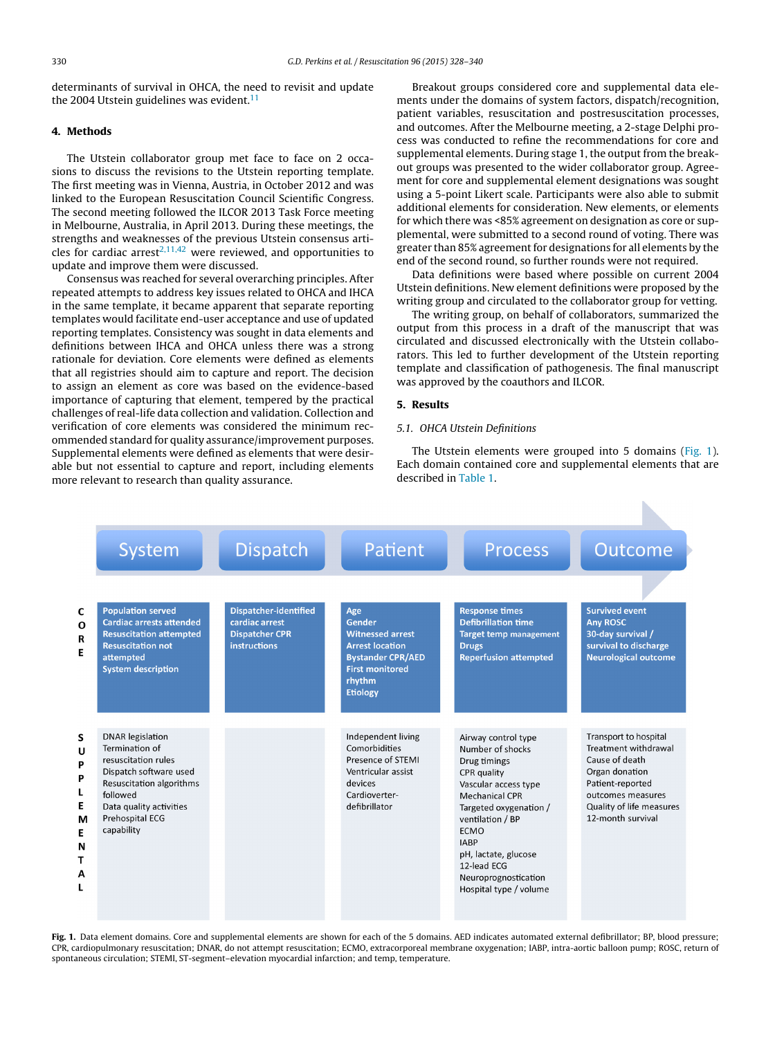determinants of survival in OHCA, the need to revisit and update the 2004 Utstein guidelines was evident. $11$ 

# **4. Methods**

The Utstein collaborator group met face to face on 2 occasions to discuss the revisions to the Utstein reporting template. The first meeting was in Vienna, Austria, in October 2012 and was linked to the European Resuscitation Council Scientific Congress. The second meeting followed the ILCOR 2013 Task Force meeting in Melbourne, Australia, in April 2013. During these meetings, the strengths and weaknesses of the previous Utstein consensus articles for cardiac arrest<sup>2,11,42</sup> were reviewed, and opportunities to update and improve them were discussed.

Consensus was reached for several overarching principles. After repeated attempts to address key issues related to OHCA and IHCA in the same template, it became apparent that separate reporting templates would facilitate end-user acceptance and use of updated reporting templates. Consistency was sought in data elements and definitions between IHCA and OHCA unless there was a strong rationale for deviation. Core elements were defined as elements that all registries should aim to capture and report. The decision to assign an element as core was based on the evidence-based importance of capturing that element, tempered by the practical challenges of real-life data collection and validation. Collection and verification of core elements was considered the minimum recommended standard for quality assurance/improvement purposes. Supplemental elements were defined as elements that were desirable but not essential to capture and report, including elements more relevant to research than quality assurance.

Breakout groups considered core and supplemental data elements under the domains of system factors, dispatch/recognition, patient variables, resuscitation and postresuscitation processes, and outcomes. After the Melbourne meeting, a 2-stage Delphi process was conducted to refine the recommendations for core and supplemental elements. During stage 1, the output from the breakout groups was presented to the wider collaborator group. Agreement for core and supplemental element designations was sought using a 5-point Likert scale. Participants were also able to submit additional elements for consideration. New elements, or elements for which there was <85% agreement on designation as core or supplemental, were submitted to a second round of voting. There was greater than 85% agreement for designations for all elements by the end of the second round, so further rounds were not required.

Data definitions were based where possible on current 2004 Utstein definitions. New element definitions were proposed by the writing group and circulated to the collaborator group for vetting.

The writing group, on behalf of collaborators, summarized the output from this process in a draft of the manuscript that was circulated and discussed electronically with the Utstein collaborators. This led to further development of the Utstein reporting template and classification of pathogenesis. The final manuscript was approved by the coauthors and ILCOR.

# **5. Results**

# 5.1. OHCA Utstein Definitions

The Utstein elements were grouped into 5 domains (Fig. 1). Each domain contained core and supplemental elements that are described in [Table](#page-3-0) 1.



**Fig. 1.** Data element domains. Core and supplemental elements are shown for each of the 5 domains. AED indicates automated external defibrillator; BP, blood pressure; CPR, cardiopulmonary resuscitation; DNAR, do not attempt resuscitation; ECMO, extracorporeal membrane oxygenation; IABP, intra-aortic balloon pump; ROSC, return of spontaneous circulation; STEMI, ST-segment–elevation myocardial infarction; and temp, temperature.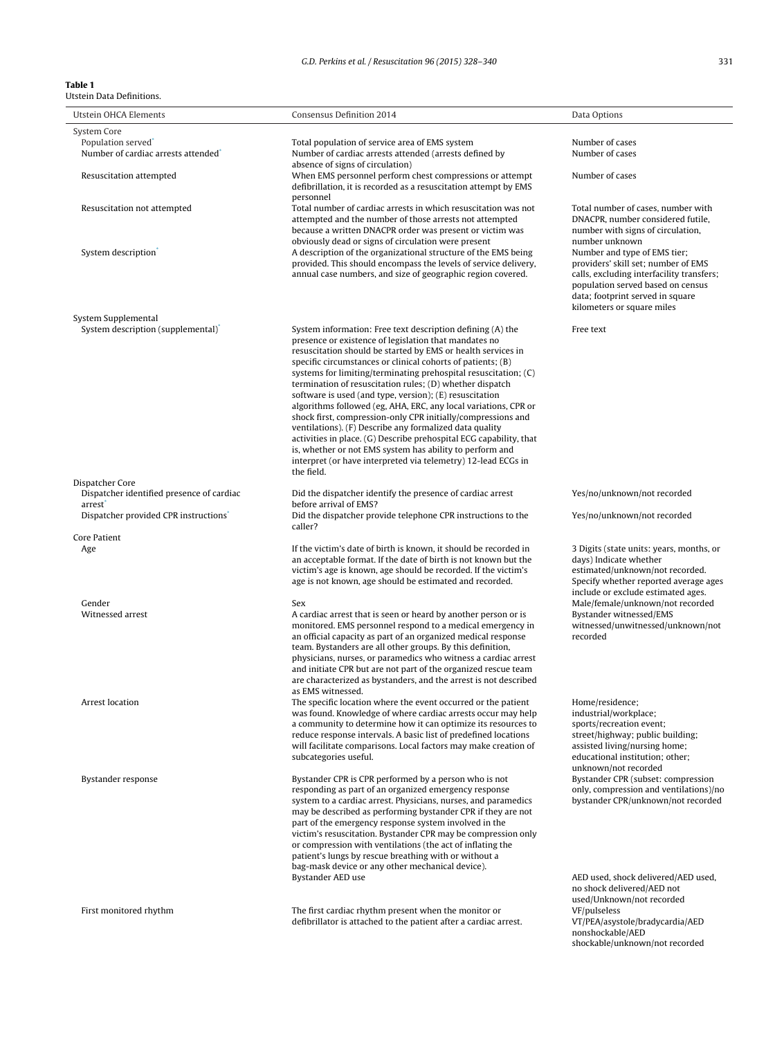#### <span id="page-3-0"></span>**Table 1** Utstein Data Definitions.

| Utstein OHCA Elements                                                  | <b>Consensus Definition 2014</b>                                                                                                                                                                                                                                                                                                                                                                                                                                                                                                                                                                                                                                                                                                                                                              | Data Options                                                                                                                                                                                                            |
|------------------------------------------------------------------------|-----------------------------------------------------------------------------------------------------------------------------------------------------------------------------------------------------------------------------------------------------------------------------------------------------------------------------------------------------------------------------------------------------------------------------------------------------------------------------------------------------------------------------------------------------------------------------------------------------------------------------------------------------------------------------------------------------------------------------------------------------------------------------------------------|-------------------------------------------------------------------------------------------------------------------------------------------------------------------------------------------------------------------------|
| System Core                                                            |                                                                                                                                                                                                                                                                                                                                                                                                                                                                                                                                                                                                                                                                                                                                                                                               |                                                                                                                                                                                                                         |
| Population served <sup>*</sup><br>Number of cardiac arrests attended   | Total population of service area of EMS system<br>Number of cardiac arrests attended (arrests defined by<br>absence of signs of circulation)                                                                                                                                                                                                                                                                                                                                                                                                                                                                                                                                                                                                                                                  | Number of cases<br>Number of cases                                                                                                                                                                                      |
| Resuscitation attempted                                                | When EMS personnel perform chest compressions or attempt<br>defibrillation, it is recorded as a resuscitation attempt by EMS                                                                                                                                                                                                                                                                                                                                                                                                                                                                                                                                                                                                                                                                  | Number of cases                                                                                                                                                                                                         |
| Resuscitation not attempted                                            | personnel<br>Total number of cardiac arrests in which resuscitation was not<br>attempted and the number of those arrests not attempted<br>because a written DNACPR order was present or victim was<br>obviously dead or signs of circulation were present                                                                                                                                                                                                                                                                                                                                                                                                                                                                                                                                     | Total number of cases, number with<br>DNACPR, number considered futile,<br>number with signs of circulation,<br>number unknown                                                                                          |
| System description <sup>®</sup>                                        | A description of the organizational structure of the EMS being<br>provided. This should encompass the levels of service delivery,<br>annual case numbers, and size of geographic region covered.                                                                                                                                                                                                                                                                                                                                                                                                                                                                                                                                                                                              | Number and type of EMS tier;<br>providers' skill set; number of EMS<br>calls, excluding interfacility transfers;<br>population served based on census<br>data; footprint served in square<br>kilometers or square miles |
| System Supplemental<br>System description (supplemental) <sup>*</sup>  | System information: Free text description defining (A) the                                                                                                                                                                                                                                                                                                                                                                                                                                                                                                                                                                                                                                                                                                                                    | Free text                                                                                                                                                                                                               |
|                                                                        | presence or existence of legislation that mandates no<br>resuscitation should be started by EMS or health services in<br>specific circumstances or clinical cohorts of patients; (B)<br>systems for limiting/terminating prehospital resuscitation; (C)<br>termination of resuscitation rules; (D) whether dispatch<br>software is used (and type, version); (E) resuscitation<br>algorithms followed (eg, AHA, ERC, any local variations, CPR or<br>shock first, compression-only CPR initially/compressions and<br>ventilations). (F) Describe any formalized data quality<br>activities in place. (G) Describe prehospital ECG capability, that<br>is, whether or not EMS system has ability to perform and<br>interpret (or have interpreted via telemetry) 12-lead ECGs in<br>the field. |                                                                                                                                                                                                                         |
| Dispatcher Core<br>Dispatcher identified presence of cardiac<br>arrest | Did the dispatcher identify the presence of cardiac arrest<br>before arrival of EMS?                                                                                                                                                                                                                                                                                                                                                                                                                                                                                                                                                                                                                                                                                                          | Yes/no/unknown/not recorded                                                                                                                                                                                             |
| Dispatcher provided CPR instructions <sup>*</sup>                      | Did the dispatcher provide telephone CPR instructions to the<br>caller?                                                                                                                                                                                                                                                                                                                                                                                                                                                                                                                                                                                                                                                                                                                       | Yes/no/unknown/not recorded                                                                                                                                                                                             |
| Core Patient                                                           |                                                                                                                                                                                                                                                                                                                                                                                                                                                                                                                                                                                                                                                                                                                                                                                               |                                                                                                                                                                                                                         |
| Age                                                                    | If the victim's date of birth is known, it should be recorded in<br>an acceptable format. If the date of birth is not known but the<br>victim's age is known, age should be recorded. If the victim's<br>age is not known, age should be estimated and recorded.                                                                                                                                                                                                                                                                                                                                                                                                                                                                                                                              | 3 Digits (state units: years, months, or<br>days) Indicate whether<br>estimated/unknown/not recorded.<br>Specify whether reported average ages<br>include or exclude estimated ages.                                    |
| Gender<br>Witnessed arrest                                             | Sex<br>A cardiac arrest that is seen or heard by another person or is<br>monitored. EMS personnel respond to a medical emergency in<br>an official capacity as part of an organized medical response<br>team. Bystanders are all other groups. By this definition,<br>physicians, nurses, or paramedics who witness a cardiac arrest<br>and initiate CPR but are not part of the organized rescue team<br>are characterized as bystanders, and the arrest is not described<br>as EMS witnessed.                                                                                                                                                                                                                                                                                               | Male/female/unknown/not recorded<br>Bystander witnessed/EMS<br>witnessed/unwitnessed/unknown/not<br>recorded                                                                                                            |
| Arrest location                                                        | The specific location where the event occurred or the patient<br>was found. Knowledge of where cardiac arrests occur may help<br>a community to determine how it can optimize its resources to<br>reduce response intervals. A basic list of predefined locations<br>will facilitate comparisons. Local factors may make creation of<br>subcategories useful.                                                                                                                                                                                                                                                                                                                                                                                                                                 | Home/residence;<br>industrial/workplace;<br>sports/recreation event;<br>street/highway; public building;<br>assisted living/nursing home;<br>educational institution; other;<br>unknown/not recorded                    |
| Bystander response                                                     | Bystander CPR is CPR performed by a person who is not<br>responding as part of an organized emergency response<br>system to a cardiac arrest. Physicians, nurses, and paramedics<br>may be described as performing bystander CPR if they are not<br>part of the emergency response system involved in the<br>victim's resuscitation. Bystander CPR may be compression only<br>or compression with ventilations (the act of inflating the<br>patient's lungs by rescue breathing with or without a<br>bag-mask device or any other mechanical device).                                                                                                                                                                                                                                         | Bystander CPR (subset: compression<br>only, compression and ventilations)/no<br>bystander CPR/unknown/not recorded                                                                                                      |
| First monitored rhythm                                                 | Bystander AED use<br>The first cardiac rhythm present when the monitor or<br>defibrillator is attached to the patient after a cardiac arrest.                                                                                                                                                                                                                                                                                                                                                                                                                                                                                                                                                                                                                                                 | AED used, shock delivered/AED used,<br>no shock delivered/AED not<br>used/Unknown/not recorded<br>VF/pulseless<br>VT/PEA/asystole/bradycardia/AED<br>nonshockable/AED                                                   |
|                                                                        |                                                                                                                                                                                                                                                                                                                                                                                                                                                                                                                                                                                                                                                                                                                                                                                               | shockable/unknown/not recorded                                                                                                                                                                                          |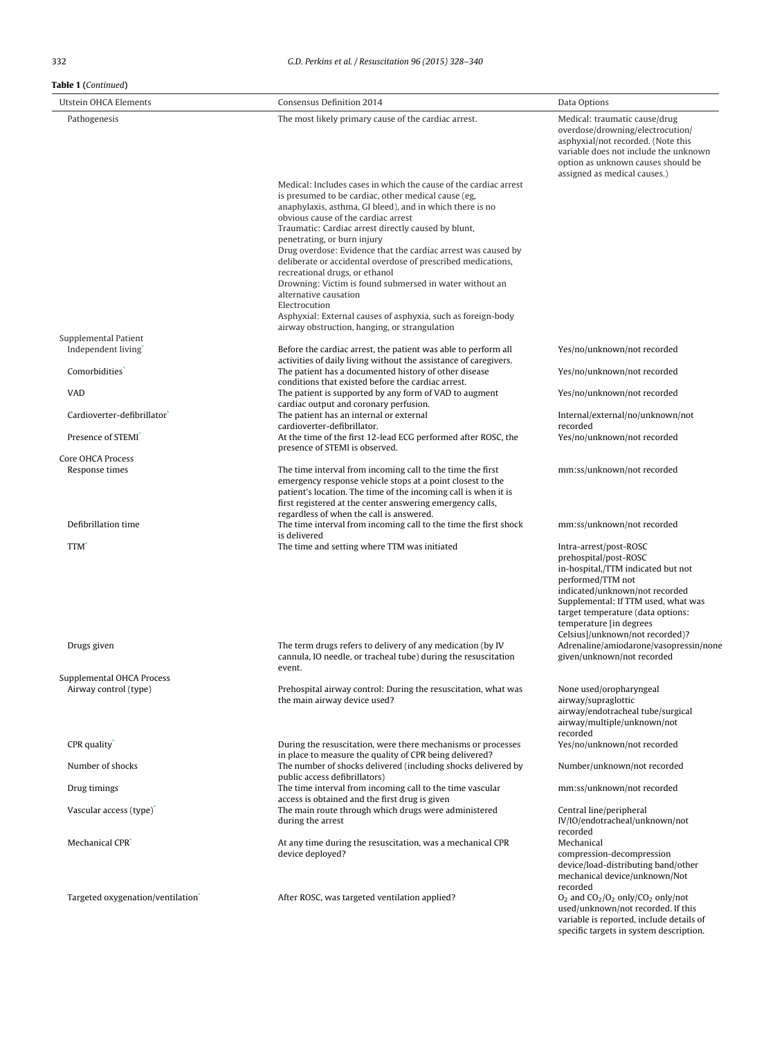| Utstein OHCA Elements                                                                                                                                  | Consensus Definition 2014                                                                                                                                                                                                                                                                                                                                                                                                                                                                                                                                                                                                                                                                                                                                                                                                                                                                                                                                                                                                                                                                                                                                                                                      | Data Options                                                                                                                                                                                                                                                                            |
|--------------------------------------------------------------------------------------------------------------------------------------------------------|----------------------------------------------------------------------------------------------------------------------------------------------------------------------------------------------------------------------------------------------------------------------------------------------------------------------------------------------------------------------------------------------------------------------------------------------------------------------------------------------------------------------------------------------------------------------------------------------------------------------------------------------------------------------------------------------------------------------------------------------------------------------------------------------------------------------------------------------------------------------------------------------------------------------------------------------------------------------------------------------------------------------------------------------------------------------------------------------------------------------------------------------------------------------------------------------------------------|-----------------------------------------------------------------------------------------------------------------------------------------------------------------------------------------------------------------------------------------------------------------------------------------|
| Pathogenesis                                                                                                                                           | The most likely primary cause of the cardiac arrest.                                                                                                                                                                                                                                                                                                                                                                                                                                                                                                                                                                                                                                                                                                                                                                                                                                                                                                                                                                                                                                                                                                                                                           | Medical: traumatic cause/drug<br>overdose/drowning/electrocution/<br>asphyxial/not recorded. (Note this<br>variable does not include the unknown<br>option as unknown causes should be<br>assigned as medical causes.)                                                                  |
| Supplemental Patient<br>Independent living<br>Comorbidities <sup>*</sup><br><b>VAD</b><br>Cardioverter-defibrillator<br>Presence of STEMI <sup>*</sup> | Medical: Includes cases in which the cause of the cardiac arrest<br>is presumed to be cardiac, other medical cause (eg,<br>anaphylaxis, asthma, GI bleed), and in which there is no<br>obvious cause of the cardiac arrest<br>Traumatic: Cardiac arrest directly caused by blunt,<br>penetrating, or burn injury<br>Drug overdose: Evidence that the cardiac arrest was caused by<br>deliberate or accidental overdose of prescribed medications,<br>recreational drugs, or ethanol<br>Drowning: Victim is found submersed in water without an<br>alternative causation<br>Electrocution<br>Asphyxial: External causes of asphyxia, such as foreign-body<br>airway obstruction, hanging, or strangulation<br>Before the cardiac arrest, the patient was able to perform all<br>activities of daily living without the assistance of caregivers.<br>The patient has a documented history of other disease<br>conditions that existed before the cardiac arrest.<br>The patient is supported by any form of VAD to augment<br>cardiac output and coronary perfusion.<br>The patient has an internal or external<br>cardioverter-defibrillator.<br>At the time of the first 12-lead ECG performed after ROSC, the | Yes/no/unknown/not recorded<br>Yes/no/unknown/not recorded<br>Yes/no/unknown/not recorded<br>Internal/external/no/unknown/not<br>recorded<br>Yes/no/unknown/not recorded                                                                                                                |
|                                                                                                                                                        | presence of STEMI is observed.                                                                                                                                                                                                                                                                                                                                                                                                                                                                                                                                                                                                                                                                                                                                                                                                                                                                                                                                                                                                                                                                                                                                                                                 |                                                                                                                                                                                                                                                                                         |
| Core OHCA Process<br>Response times                                                                                                                    | The time interval from incoming call to the time the first<br>emergency response vehicle stops at a point closest to the<br>patient's location. The time of the incoming call is when it is<br>first registered at the center answering emergency calls,                                                                                                                                                                                                                                                                                                                                                                                                                                                                                                                                                                                                                                                                                                                                                                                                                                                                                                                                                       | mm:ss/unknown/not recorded                                                                                                                                                                                                                                                              |
| Defibrillation time                                                                                                                                    | regardless of when the call is answered.<br>The time interval from incoming call to the time the first shock<br>is delivered                                                                                                                                                                                                                                                                                                                                                                                                                                                                                                                                                                                                                                                                                                                                                                                                                                                                                                                                                                                                                                                                                   | mm:ss/unknown/not recorded                                                                                                                                                                                                                                                              |
| TTM <sup>*</sup>                                                                                                                                       | The time and setting where TTM was initiated                                                                                                                                                                                                                                                                                                                                                                                                                                                                                                                                                                                                                                                                                                                                                                                                                                                                                                                                                                                                                                                                                                                                                                   | Intra-arrest/post-ROSC<br>prehospital/post-ROSC<br>in-hospital,/TTM indicated but not<br>performed/TTM not<br>indicated/unknown/not recorded<br>Supplemental: If TTM used, what was<br>target temperature (data options:<br>temperature [in degrees]<br>Celsius]/unknown/not recorded)? |
| Drugs given                                                                                                                                            | The term drugs refers to delivery of any medication (by IV<br>cannula, IO needle, or tracheal tube) during the resuscitation<br>event.                                                                                                                                                                                                                                                                                                                                                                                                                                                                                                                                                                                                                                                                                                                                                                                                                                                                                                                                                                                                                                                                         | Adrenaline/amiodarone/vasopressin/none<br>given/unknown/not recorded                                                                                                                                                                                                                    |
| Supplemental OHCA Process<br>Airway control (type)                                                                                                     | Prehospital airway control: During the resuscitation, what was<br>the main airway device used?                                                                                                                                                                                                                                                                                                                                                                                                                                                                                                                                                                                                                                                                                                                                                                                                                                                                                                                                                                                                                                                                                                                 | None used/oropharyngeal<br>airway/supraglottic<br>airway/endotracheal tube/surgical<br>airway/multiple/unknown/not<br>recorded                                                                                                                                                          |
| CPR quality                                                                                                                                            | During the resuscitation, were there mechanisms or processes<br>in place to measure the quality of CPR being delivered?                                                                                                                                                                                                                                                                                                                                                                                                                                                                                                                                                                                                                                                                                                                                                                                                                                                                                                                                                                                                                                                                                        | Yes/no/unknown/not recorded                                                                                                                                                                                                                                                             |
| Number of shocks                                                                                                                                       | The number of shocks delivered (including shocks delivered by<br>public access defibrillators)                                                                                                                                                                                                                                                                                                                                                                                                                                                                                                                                                                                                                                                                                                                                                                                                                                                                                                                                                                                                                                                                                                                 | Number/unknown/not recorded                                                                                                                                                                                                                                                             |
| Drug timings                                                                                                                                           | The time interval from incoming call to the time vascular<br>access is obtained and the first drug is given                                                                                                                                                                                                                                                                                                                                                                                                                                                                                                                                                                                                                                                                                                                                                                                                                                                                                                                                                                                                                                                                                                    | mm:ss/unknown/not recorded                                                                                                                                                                                                                                                              |
| Vascular access (type) <sup>*</sup>                                                                                                                    | The main route through which drugs were administered<br>during the arrest                                                                                                                                                                                                                                                                                                                                                                                                                                                                                                                                                                                                                                                                                                                                                                                                                                                                                                                                                                                                                                                                                                                                      | Central line/peripheral<br>IV/IO/endotracheal/unknown/not<br>recorded                                                                                                                                                                                                                   |
| Mechanical CPR <sup>*</sup>                                                                                                                            | At any time during the resuscitation, was a mechanical CPR<br>device deployed?                                                                                                                                                                                                                                                                                                                                                                                                                                                                                                                                                                                                                                                                                                                                                                                                                                                                                                                                                                                                                                                                                                                                 | Mechanical<br>compression-decompression<br>device/load-distributing band/other<br>mechanical device/unknown/Not<br>recorded                                                                                                                                                             |
| Targeted oxygenation/ventilation <sup>®</sup>                                                                                                          | After ROSC, was targeted ventilation applied?                                                                                                                                                                                                                                                                                                                                                                                                                                                                                                                                                                                                                                                                                                                                                                                                                                                                                                                                                                                                                                                                                                                                                                  | $O_2$ and $CO_2/O_2$ only/ $CO_2$ only/not<br>used/unknown/not recorded. If this<br>variable is reported, include details of                                                                                                                                                            |

specific targets in system description.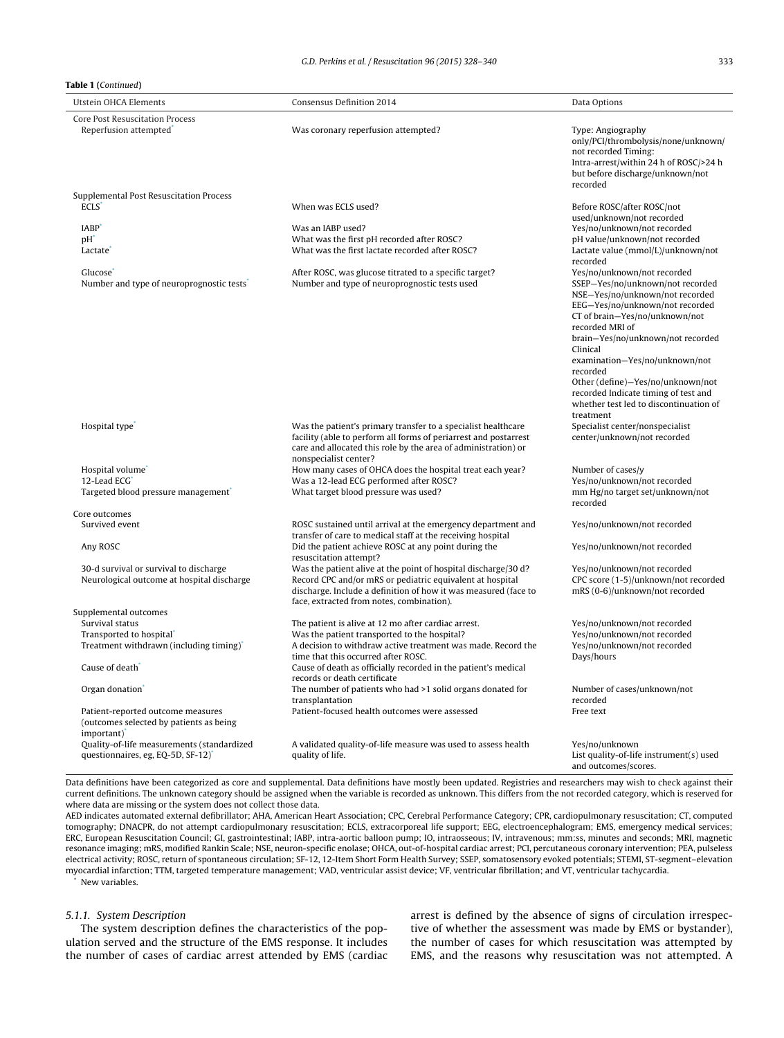#### <span id="page-5-0"></span>**Table 1 (**Continued**)**

| Utstein OHCA Elements                                                                                   | <b>Consensus Definition 2014</b>                                                                                                                                                                                                            | Data Options                                                                                                                                                                                                                                                                                                                                                                                                                 |
|---------------------------------------------------------------------------------------------------------|---------------------------------------------------------------------------------------------------------------------------------------------------------------------------------------------------------------------------------------------|------------------------------------------------------------------------------------------------------------------------------------------------------------------------------------------------------------------------------------------------------------------------------------------------------------------------------------------------------------------------------------------------------------------------------|
| Core Post Resuscitation Process<br>Reperfusion attempted <sup>®</sup>                                   | Was coronary reperfusion attempted?                                                                                                                                                                                                         | Type: Angiography<br>only/PCI/thrombolysis/none/unknown/<br>not recorded Timing:<br>Intra-arrest/within 24 h of ROSC/>24 h<br>but before discharge/unknown/not<br>recorded                                                                                                                                                                                                                                                   |
| Supplemental Post Resuscitation Process                                                                 |                                                                                                                                                                                                                                             |                                                                                                                                                                                                                                                                                                                                                                                                                              |
| <b>ECLS</b><br><b>IABP</b><br>$pH^*$<br>Lactate                                                         | When was ECLS used?<br>Was an IABP used?<br>What was the first pH recorded after ROSC?<br>What was the first lactate recorded after ROSC?                                                                                                   | Before ROSC/after ROSC/not<br>used/unknown/not recorded<br>Yes/no/unknown/not recorded<br>pH value/unknown/not recorded<br>Lactate value (mmol/L)/unknown/not                                                                                                                                                                                                                                                                |
| Glucose<br>Number and type of neuroprognostic tests <sup>®</sup>                                        | After ROSC, was glucose titrated to a specific target?<br>Number and type of neuroprognostic tests used                                                                                                                                     | recorded<br>Yes/no/unknown/not recorded<br>SSEP-Yes/no/unknown/not recorded<br>NSE-Yes/no/unknown/not recorded<br>EEG-Yes/no/unknown/not recorded<br>CT of brain-Yes/no/unknown/not<br>recorded MRI of<br>brain-Yes/no/unknown/not recorded<br>Clinical<br>examination-Yes/no/unknown/not<br>recorded<br>Other (define)-Yes/no/unknown/not<br>recorded Indicate timing of test and<br>whether test led to discontinuation of |
| Hospital type                                                                                           | Was the patient's primary transfer to a specialist healthcare<br>facility (able to perform all forms of periarrest and postarrest<br>care and allocated this role by the area of administration) or<br>nonspecialist center?                | treatment<br>Specialist center/nonspecialist<br>center/unknown/not recorded                                                                                                                                                                                                                                                                                                                                                  |
| Hospital volume <sup>®</sup><br>12-Lead ECG<br>Targeted blood pressure management                       | How many cases of OHCA does the hospital treat each year?<br>Was a 12-lead ECG performed after ROSC?<br>What target blood pressure was used?                                                                                                | Number of cases/y<br>Yes/no/unknown/not recorded<br>mm Hg/no target set/unknown/not<br>recorded                                                                                                                                                                                                                                                                                                                              |
| Core outcomes                                                                                           |                                                                                                                                                                                                                                             |                                                                                                                                                                                                                                                                                                                                                                                                                              |
| Survived event                                                                                          | ROSC sustained until arrival at the emergency department and<br>transfer of care to medical staff at the receiving hospital                                                                                                                 | Yes/no/unknown/not recorded                                                                                                                                                                                                                                                                                                                                                                                                  |
| Any ROSC                                                                                                | Did the patient achieve ROSC at any point during the<br>resuscitation attempt?                                                                                                                                                              | Yes/no/unknown/not recorded                                                                                                                                                                                                                                                                                                                                                                                                  |
| 30-d survival or survival to discharge<br>Neurological outcome at hospital discharge                    | Was the patient alive at the point of hospital discharge/30 d?<br>Record CPC and/or mRS or pediatric equivalent at hospital<br>discharge. Include a definition of how it was measured (face to<br>face, extracted from notes, combination). | Yes/no/unknown/not recorded<br>CPC score (1-5)/unknown/not recorded<br>mRS (0-6)/unknown/not recorded                                                                                                                                                                                                                                                                                                                        |
| Supplemental outcomes                                                                                   |                                                                                                                                                                                                                                             |                                                                                                                                                                                                                                                                                                                                                                                                                              |
| Survival status                                                                                         | The patient is alive at 12 mo after cardiac arrest.                                                                                                                                                                                         | Yes/no/unknown/not recorded                                                                                                                                                                                                                                                                                                                                                                                                  |
| Transported to hospital <sup>®</sup>                                                                    | Was the patient transported to the hospital?                                                                                                                                                                                                | Yes/no/unknown/not recorded                                                                                                                                                                                                                                                                                                                                                                                                  |
| Treatment withdrawn (including timing)                                                                  | A decision to withdraw active treatment was made. Record the<br>time that this occurred after ROSC.                                                                                                                                         | Yes/no/unknown/not recorded<br>Days/hours                                                                                                                                                                                                                                                                                                                                                                                    |
| Cause of death <sup>*</sup>                                                                             | Cause of death as officially recorded in the patient's medical<br>records or death certificate                                                                                                                                              |                                                                                                                                                                                                                                                                                                                                                                                                                              |
| Organ donation <sup>®</sup>                                                                             | The number of patients who had >1 solid organs donated for<br>transplantation                                                                                                                                                               | Number of cases/unknown/not<br>recorded                                                                                                                                                                                                                                                                                                                                                                                      |
| Patient-reported outcome measures<br>(outcomes selected by patients as being<br>important) <sup>*</sup> | Patient-focused health outcomes were assessed                                                                                                                                                                                               | Free text                                                                                                                                                                                                                                                                                                                                                                                                                    |
| Quality-of-life measurements (standardized<br>questionnaires, eg, EQ-5D, SF-12) <sup>*</sup>            | A validated quality-of-life measure was used to assess health<br>quality of life.                                                                                                                                                           | Yes/no/unknown<br>List quality-of-life instrument(s) used<br>and outcomes/scores.                                                                                                                                                                                                                                                                                                                                            |

Data definitions have been categorized as core and supplemental. Data definitions have mostly been updated. Registries and researchers may wish to check against their current definitions. The unknown category should be assigned when the variable is recorded as unknown. This differs from the not recorded category, which is reserved for where data are missing or the system does not collect those data.

AED indicates automated external defibrillator; AHA, American Heart Association; CPC, Cerebral Performance Category; CPR, cardiopulmonary resuscitation; CT, computed tomography; DNACPR, do not attempt cardiopulmonary resuscitation; ECLS, extracorporeal life support; EEG, electroencephalogram; EMS, emergency medical services; ERC, European Resuscitation Council; GI, gastrointestinal; IABP, intra-aortic balloon pump; IO, intraosseous; IV, intravenous; mm:ss, minutes and seconds; MRI, magnetic resonance imaging; mRS, modified Rankin Scale; NSE, neuron-specific enolase; OHCA, out-of-hospital cardiac arrest; PCI, percutaneous coronary intervention; PEA, pulseless electrical activity; ROSC, return of spontaneous circulation; SF-12, 12-Item Short Form Health Survey; SSEP, somatosensory evoked potentials; STEMI, ST-segment–elevation myocardial infarction; TTM, targeted temperature management; VAD, ventricular assist device; VF, ventricular fibrillation; and VT, ventricular tachycardia.

New variables.

# 5.1.1. System Description

The system description defines the characteristics of the population served and the structure of the EMS response. It includes the number of cases of cardiac arrest attended by EMS (cardiac arrest is defined by the absence of signs of circulation irrespective of whether the assessment was made by EMS or bystander), the number of cases for which resuscitation was attempted by EMS, and the reasons why resuscitation was not attempted. A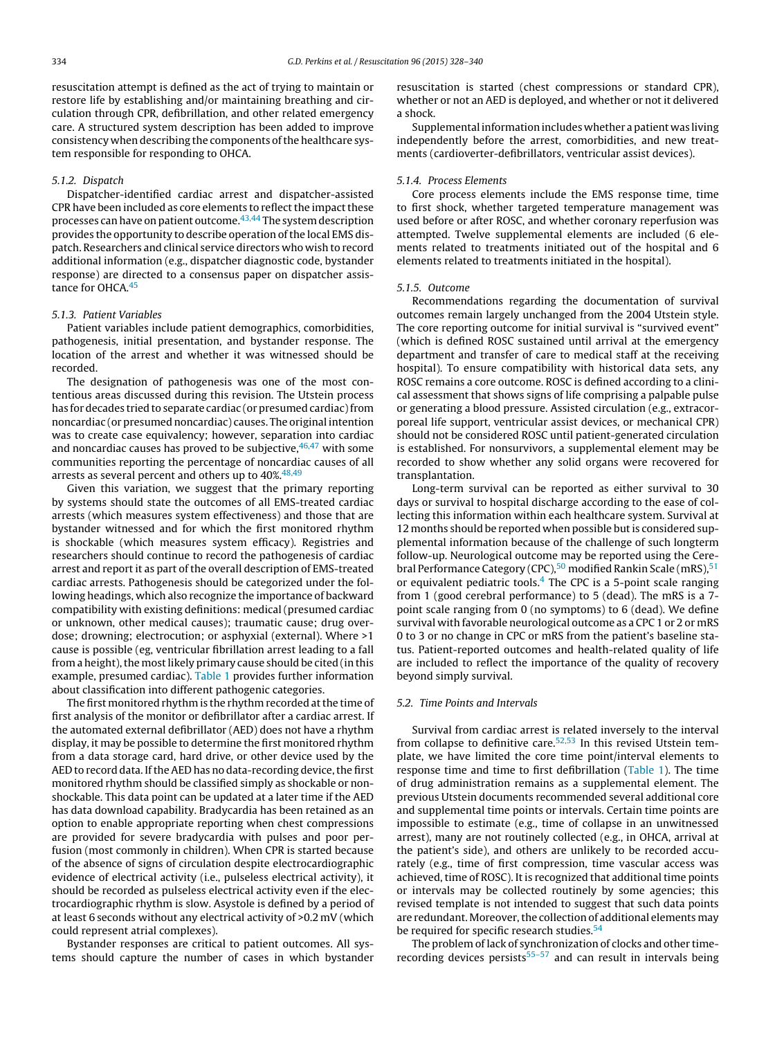resuscitation attempt is defined as the act of trying to maintain or restore life by establishing and/or maintaining breathing and circulation through CPR, defibrillation, and other related emergency care. A structured system description has been added to improve consistency when describing the components of the healthcare system responsible for responding to OHCA.

#### 5.1.2. Dispatch

Dispatcher-identified cardiac arrest and dispatcher-assisted CPR have been included as core elements to reflect the impact these processes can have on patient outcome.<sup>43,44</sup> The system description provides the opportunity to describe operation of the local EMS dispatch. Researchers and clinical service directors who wish to record additional information (e.g., dispatcher diagnostic code, bystander response) are directed to a consensus paper on dispatcher assistance for OHCA.<sup>45</sup>

#### 5.1.3. Patient Variables

Patient variables include patient demographics, comorbidities, pathogenesis, initial presentation, and bystander response. The location of the arrest and whether it was witnessed should be recorded.

The designation of pathogenesis was one of the most contentious areas discussed during this revision. The Utstein process has for decades tried to separate cardiac (or presumed cardiac) from noncardiac (or presumed noncardiac) causes. The original intention was to create case equivalency; however, separation into cardiac and noncardiac causes has proved to be subjective,  $46,47$  with some communities reporting the percentage of noncardiac causes of all arrests as several percent and others up to 40%.<sup>[48,49](#page-12-0)</sup>

Given this variation, we suggest that the primary reporting by systems should state the outcomes of all EMS-treated cardiac arrests (which measures system effectiveness) and those that are bystander witnessed and for which the first monitored rhythm is shockable (which measures system efficacy). Registries and researchers should continue to record the pathogenesis of cardiac arrest and report it as part of the overall description of EMS-treated cardiac arrests. Pathogenesis should be categorized under the following headings, which also recognize the importance of backward compatibility with existing definitions: medical (presumed cardiac or unknown, other medical causes); traumatic cause; drug overdose; drowning; electrocution; or asphyxial (external). Where >1 cause is possible (eg, ventricular fibrillation arrest leading to a fall from a height), the most likely primary cause should be cited (in this example, presumed cardiac). [Table](#page-3-0) 1 provides further information about classification into different pathogenic categories.

The first monitored rhythm is the rhythm recorded at the time of first analysis of the monitor or defibrillator after a cardiac arrest. If the automated external defibrillator (AED) does not have a rhythm display, it may be possible to determine the first monitored rhythm from a data storage card, hard drive, or other device used by the AED to record data. If the AED has no data-recording device, the first monitored rhythm should be classified simply as shockable or nonshockable. This data point can be updated at a later time if the AED has data download capability. Bradycardia has been retained as an option to enable appropriate reporting when chest compressions are provided for severe bradycardia with pulses and poor perfusion (most commonly in children). When CPR is started because of the absence of signs of circulation despite electrocardiographic evidence of electrical activity (i.e., pulseless electrical activity), it should be recorded as pulseless electrical activity even if the electrocardiographic rhythm is slow. Asystole is defined by a period of at least 6 seconds without any electrical activity of >0.2 mV (which could represent atrial complexes).

Bystander responses are critical to patient outcomes. All systems should capture the number of cases in which bystander resuscitation is started (chest compressions or standard CPR), whether or not an AED is deployed, and whether or not it delivered a shock.

Supplemental information includes whether a patient was living independently before the arrest, comorbidities, and new treatments (cardioverter-defibrillators, ventricular assist devices).

#### 5.1.4. Process Elements

Core process elements include the EMS response time, time to first shock, whether targeted temperature management was used before or after ROSC, and whether coronary reperfusion was attempted. Twelve supplemental elements are included (6 elements related to treatments initiated out of the hospital and 6 elements related to treatments initiated in the hospital).

#### 5.1.5. Outcome

Recommendations regarding the documentation of survival outcomes remain largely unchanged from the 2004 Utstein style. The core reporting outcome for initial survival is "survived event" (which is defined ROSC sustained until arrival at the emergency department and transfer of care to medical staff at the receiving hospital). To ensure compatibility with historical data sets, any ROSC remains a core outcome. ROSC is defined according to a clinical assessment that shows signs of life comprising a palpable pulse or generating a blood pressure. Assisted circulation (e.g., extracorporeal life support, ventricular assist devices, or mechanical CPR) should not be considered ROSC until patient-generated circulation is established. For nonsurvivors, a supplemental element may be recorded to show whether any solid organs were recovered for transplantation.

Long-term survival can be reported as either survival to 30 days or survival to hospital discharge according to the ease of collecting this information within each healthcare system. Survival at 12 months should be reported when possible but is considered supplemental information because of the challenge of such longterm follow-up. Neurological outcome may be reported using the Cerebral Performance Category (CPC), $50$  modified Rankin Scale (mRS),  $51$ or equivalent pediatric tools.<sup>4</sup> The CPC is a 5-point scale ranging from 1 (good cerebral performance) to 5 (dead). The mRS is a 7 point scale ranging from 0 (no symptoms) to 6 (dead). We define survival with favorable neurological outcome as a CPC 1 or 2 or mRS 0 to 3 or no change in CPC or mRS from the patient's baseline status. Patient-reported outcomes and health-related quality of life are included to reflect the importance of the quality of recovery beyond simply survival.

# 5.2. Time Points and Intervals

Survival from cardiac arrest is related inversely to the interval from collapse to definitive care. $52,53$  In this revised Utstein template, we have limited the core time point/interval elements to response time and time to first defibrillation ([Table](#page-3-0) 1). The time of drug administration remains as a supplemental element. The previous Utstein documents recommended several additional core and supplemental time points or intervals. Certain time points are impossible to estimate (e.g., time of collapse in an unwitnessed arrest), many are not routinely collected (e.g., in OHCA, arrival at the patient's side), and others are unlikely to be recorded accurately (e.g., time of first compression, time vascular access was achieved, time of ROSC). It is recognized that additional time points or intervals may be collected routinely by some agencies; this revised template is not intended to suggest that such data points are redundant. Moreover, the collection of additional elements may be required for specific research studies.<sup>[54](#page-12-0)</sup>

The problem of lack of synchronization of clocks and other timerecording devices persists $55-57$  and can result in intervals being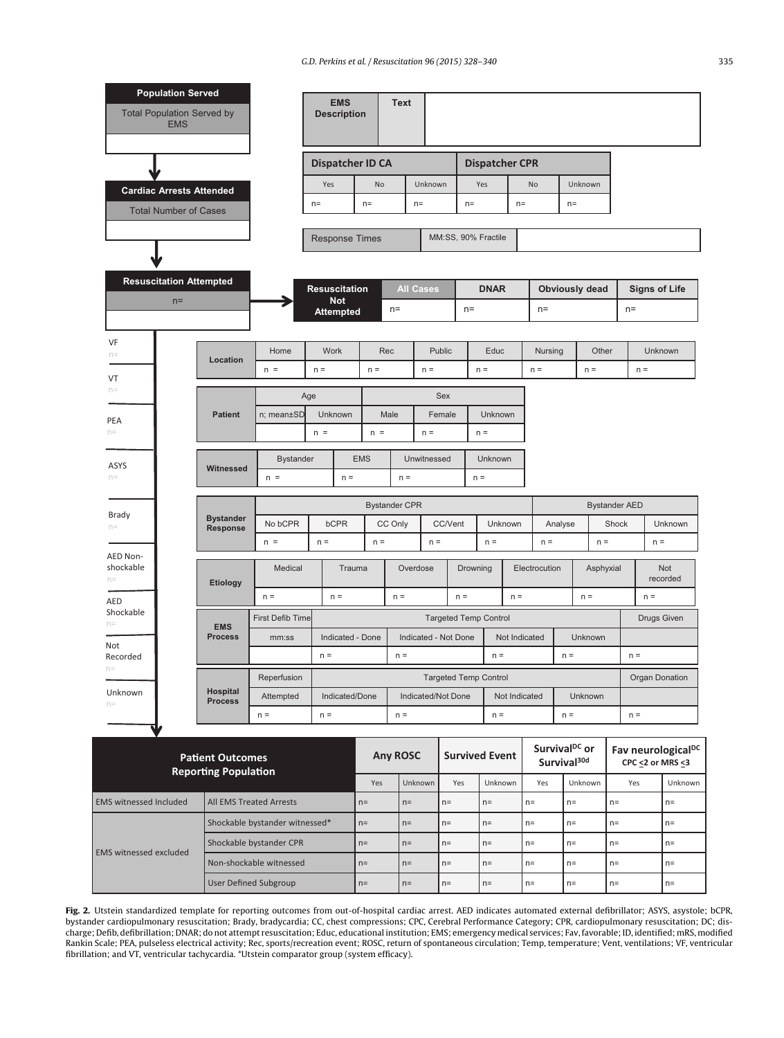G.D. Perkins et al. / Resuscitation 96 (2015) 328–340 335

<span id="page-7-0"></span>

|                                                        | <b>Population Served</b><br><b>Total Population Served by</b>   |                              |                                |                         | <b>EMS</b><br><b>Description</b> |                           | <b>Text</b>          |                       |               |                       |                              |       |                          |                           |                      |                              |                      |                                |
|--------------------------------------------------------|-----------------------------------------------------------------|------------------------------|--------------------------------|-------------------------|----------------------------------|---------------------------|----------------------|-----------------------|---------------|-----------------------|------------------------------|-------|--------------------------|---------------------------|----------------------|------------------------------|----------------------|--------------------------------|
|                                                        | <b>EMS</b>                                                      |                              |                                |                         |                                  |                           |                      |                       |               |                       |                              |       |                          |                           |                      |                              |                      |                                |
|                                                        |                                                                 |                              |                                | <b>Dispatcher ID CA</b> |                                  |                           |                      | <b>Dispatcher CPR</b> |               |                       |                              |       |                          |                           |                      |                              |                      |                                |
|                                                        |                                                                 |                              |                                | Yes                     |                                  | No                        |                      | Unknown               |               |                       | Yes                          |       | Unknown<br>No            |                           |                      |                              |                      |                                |
|                                                        | <b>Cardiac Arrests Attended</b><br><b>Total Number of Cases</b> |                              |                                | $n =$                   |                                  | $n =$                     |                      | $n=$                  |               | $n=$                  |                              | $n=$  |                          | $n=$                      |                      |                              |                      |                                |
|                                                        |                                                                 |                              |                                |                         |                                  |                           |                      |                       |               |                       |                              |       |                          |                           |                      |                              |                      |                                |
|                                                        |                                                                 |                              |                                |                         |                                  | <b>Response Times</b>     |                      |                       |               |                       | MM:SS, 90% Fractile          |       |                          |                           |                      |                              |                      |                                |
|                                                        |                                                                 |                              |                                |                         |                                  |                           |                      |                       |               |                       |                              |       |                          |                           |                      |                              |                      |                                |
|                                                        | <b>Resuscitation Attempted</b>                                  |                              |                                | <b>Resuscitation</b>    |                                  |                           |                      | <b>All Cases</b>      |               |                       | <b>DNAR</b>                  |       |                          | Obviously dead            |                      |                              | <b>Signs of Life</b> |                                |
|                                                        | $n =$                                                           |                              |                                |                         | <b>Not</b><br><b>Attempted</b>   |                           | $n=$                 |                       |               | $n=$                  |                              |       | $n=$                     |                           |                      |                              | $n=$                 |                                |
|                                                        |                                                                 |                              |                                |                         |                                  |                           |                      |                       |               |                       |                              |       |                          |                           |                      |                              |                      |                                |
| VF<br>$n=$                                             |                                                                 | Location                     | Home                           | <b>Work</b>             |                                  | Rec                       |                      |                       | <b>Public</b> |                       | Educ                         |       | Nursing                  |                           | Other                |                              |                      | Unknown                        |
| VT                                                     |                                                                 |                              | $n =$                          | $n =$                   |                                  | $n =$                     |                      | $n =$                 |               |                       | $n =$                        |       | $n =$                    |                           | $n =$                |                              | $n =$                |                                |
| $n=$                                                   |                                                                 |                              |                                | Age                     |                                  |                           |                      |                       | <b>Sex</b>    |                       |                              |       |                          |                           |                      |                              |                      |                                |
| PEA                                                    |                                                                 | <b>Patient</b>               | n; mean±SD                     | <b>Unknown</b>          |                                  | Male                      |                      |                       | Female        |                       | Unknown                      |       |                          |                           |                      |                              |                      |                                |
| $n=$                                                   |                                                                 |                              |                                | $n =$                   |                                  | $n =$                     |                      | $n =$                 |               |                       | $n =$                        |       |                          |                           |                      |                              |                      |                                |
| ASYS                                                   |                                                                 |                              | <b>Bystander</b>               |                         |                                  | <b>EMS</b><br>Unwitnessed |                      |                       | Unknown       |                       |                              |       |                          |                           |                      |                              |                      |                                |
| $n =$                                                  |                                                                 | Witnessed                    | $n =$                          | $n =$                   |                                  |                           | $n =$                |                       |               | $n =$                 |                              |       |                          |                           |                      |                              |                      |                                |
|                                                        |                                                                 |                              |                                |                         |                                  |                           | <b>Bystander CPR</b> |                       |               |                       |                              |       |                          |                           | <b>Bystander AED</b> |                              |                      |                                |
| Brady<br>$n=$                                          | <b>Bystander</b><br><b>Response</b>                             |                              | No bCPR                        | <b>bCPR</b>             |                                  |                           | CC/Vent<br>CC Only   |                       |               | Unknown               |                              |       | Analyse                  |                           | Shock                |                              | Unknown              |                                |
|                                                        |                                                                 |                              | $n =$                          | $n =$                   |                                  | $n =$                     |                      | $n =$                 |               |                       | $n =$                        |       | $n =$<br>$n =$           |                           |                      | $n =$                        |                      |                                |
| AED Non-<br>shockable                                  |                                                                 |                              | Medical                        |                         | Trauma                           |                           |                      | Overdose              |               | Drowning              |                              |       | Electrocution            |                           | Asphyxial            | Not<br>recorded              |                      |                                |
| $n=$                                                   |                                                                 | <b>Etiology</b>              | $n =$                          |                         | $n =$                            |                           | $n =$                |                       |               | $n =$                 |                              | $n =$ |                          |                           | $n =$                |                              | $n =$                |                                |
| AED<br>Shockable                                       |                                                                 |                              | <b>First Defib Time</b>        |                         |                                  |                           |                      |                       |               |                       | <b>Targeted Temp Control</b> |       |                          |                           |                      |                              | <b>Drugs Given</b>   |                                |
| $n=$                                                   |                                                                 | <b>EMS</b><br><b>Process</b> | mm:ss                          |                         | Indicated - Done                 |                           |                      | Indicated - Not Done  |               |                       |                              |       | Not Indicated<br>Unknown |                           |                      |                              |                      |                                |
| Not<br>Recorded                                        |                                                                 |                              |                                | $n =$                   |                                  |                           | $n =$                |                       |               |                       | $n =$                        |       |                          | $n =$                     |                      |                              | $n =$                |                                |
| $n=$                                                   |                                                                 |                              | Reperfusion                    |                         |                                  |                           |                      |                       |               |                       | <b>Targeted Temp Control</b> |       |                          |                           |                      | Organ Donation               |                      |                                |
| Unknown<br>$n=$                                        | Hospital<br>Attempted<br><b>Process</b>                         |                              |                                | Indicated/Done          |                                  |                           | Indicated/Not Done   |                       |               | Not Indicated         |                              |       | Unknown                  |                           |                      |                              |                      |                                |
|                                                        |                                                                 |                              | $n =$                          | $n =$                   |                                  |                           | $n =$                |                       |               |                       | $n =$                        |       |                          | $n =$                     |                      |                              | $n =$                |                                |
|                                                        |                                                                 |                              |                                |                         |                                  |                           |                      |                       |               |                       |                              |       |                          | Survival <sup>DC</sup> or |                      |                              |                      | Fav neurological <sup>DC</sup> |
| <b>Patient Outcomes</b><br><b>Reporting Population</b> |                                                                 |                              |                                |                         |                                  | <b>Any ROSC</b>           |                      |                       |               | <b>Survived Event</b> |                              |       | Survival <sup>30d</sup>  |                           |                      | CPC $\leq$ 2 or MRS $\leq$ 3 |                      |                                |
|                                                        |                                                                 |                              |                                |                         |                                  | Yes                       |                      | Unknown               | Yes           |                       | Unknown                      |       | Yes                      |                           | Unknown              |                              | Yes                  | Unknown                        |
| <b>EMS witnessed Included</b>                          |                                                                 |                              | <b>All EMS Treated Arrests</b> |                         |                                  | $n=$                      | $n=$                 |                       | $n =$         |                       | $n =$                        | $n =$ |                          | $n=$                      |                      | $n=$                         |                      | $n=$                           |
|                                                        |                                                                 |                              | Shockable bystander witnessed* |                         |                                  | $n =$                     | $n =$                |                       | $n=$          |                       | $n=$                         | $n=$  |                          | $n =$                     |                      | $n =$                        |                      | $n=$                           |
| <b>EMS</b> witnessed excluded                          |                                                                 |                              | Shockable bystander CPR        |                         |                                  | $n =$                     | $n =$                |                       | $n =$         |                       | $n=$                         | $n =$ |                          | $n =$                     |                      | $n =$                        |                      | $n=$                           |
|                                                        |                                                                 |                              | Non-shockable witnessed        |                         |                                  | $n=$                      | $n =$                |                       | $n=$          |                       | $n =$                        | $n =$ |                          | $n=$                      |                      | $n=$                         |                      | $n =$                          |
|                                                        |                                                                 |                              | <b>User Defined Subgroup</b>   |                         |                                  | $n=$                      | $n=$                 |                       | $n=$          |                       | $n=$                         | $n=$  |                          | $n=$                      |                      | $n=$                         |                      | $n=$                           |

**Fig. 2.** Utstein standardized template for reporting outcomes from out-of-hospital cardiac arrest. AED indicates automated external defibrillator; ASYS, asystole; bCPR, bystander cardiopulmonary resuscitation; Brady, bradycardia; CC, chest compressions; CPC, Cerebral Performance Category; CPR, cardiopulmonary resuscitation; DC; discharge; Defib, defibrillation; DNAR; do not attempt resuscitation; Educ, educational institution; EMS; emergency medical services; Fav,favorable;ID, identified; mRS, modified Rankin Scale; PEA, pulseless electrical activity; Rec, sports/recreation event; ROSC, return of spontaneous circulation; Temp, temperature; Vent, ventilations; VF, ventricular fibrillation; and VT, ventricular tachycardia. \*Utstein comparator group (system efficacy).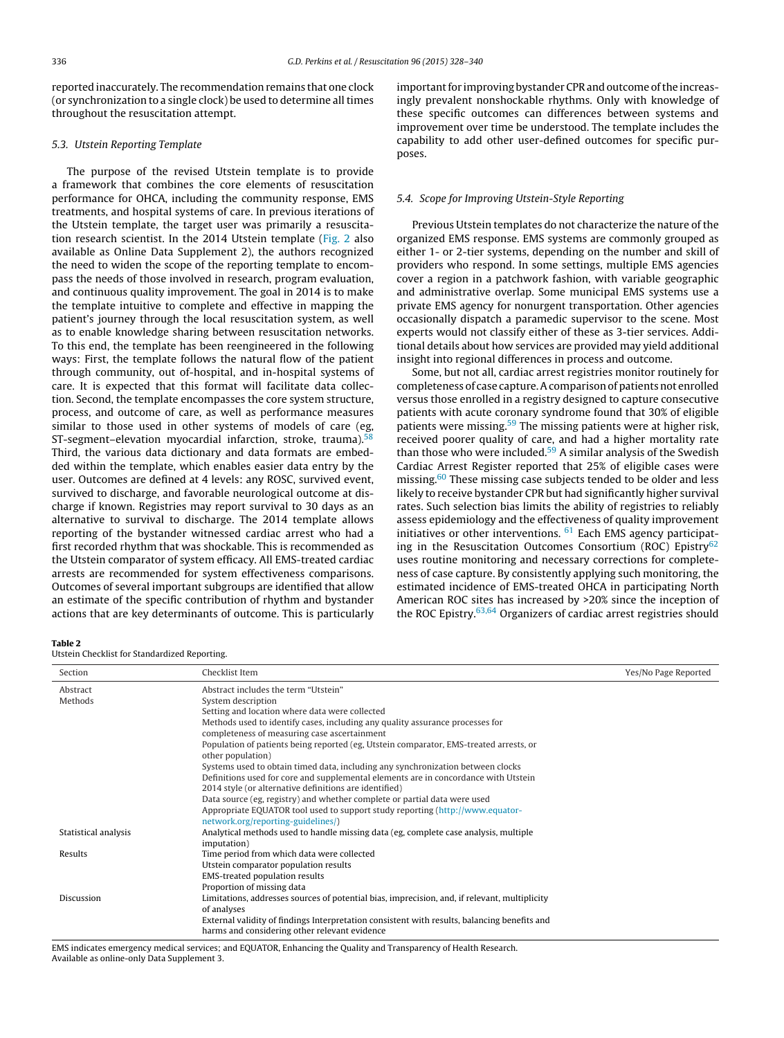<span id="page-8-0"></span>reported inaccurately. The recommendation remains that one clock (or synchronization to a single clock) be used to determine all times throughout the resuscitation attempt.

#### 5.3. Utstein Reporting Template

The purpose of the revised Utstein template is to provide a framework that combines the core elements of resuscitation performance for OHCA, including the community response, EMS treatments, and hospital systems of care. In previous iterations of the Utstein template, the target user was primarily a resuscitation research scientist. In the 2014 Utstein template ([Fig.](#page-7-0) 2 also available as Online Data Supplement 2), the authors recognized the need to widen the scope of the reporting template to encompass the needs of those involved in research, program evaluation, and continuous quality improvement. The goal in 2014 is to make the template intuitive to complete and effective in mapping the patient's journey through the local resuscitation system, as well as to enable knowledge sharing between resuscitation networks. To this end, the template has been reengineered in the following ways: First, the template follows the natural flow of the patient through community, out of-hospital, and in-hospital systems of care. It is expected that this format will facilitate data collection. Second, the template encompasses the core system structure, process, and outcome of care, as well as performance measures similar to those used in other systems of models of care (eg, ST-segment–elevation myocardial infarction, stroke, trauma).<sup>[58](#page-12-0)</sup> Third, the various data dictionary and data formats are embedded within the template, which enables easier data entry by the user. Outcomes are defined at 4 levels: any ROSC, survived event, survived to discharge, and favorable neurological outcome at discharge if known. Registries may report survival to 30 days as an alternative to survival to discharge. The 2014 template allows reporting of the bystander witnessed cardiac arrest who had a first recorded rhythm that was shockable. This is recommended as the Utstein comparator of system efficacy. All EMS-treated cardiac arrests are recommended for system effectiveness comparisons. Outcomes of several important subgroups are identified that allow an estimate of the specific contribution of rhythm and bystander actions that are key determinants of outcome. This is particularly

important for improving bystander CPR and outcome of the increasingly prevalent nonshockable rhythms. Only with knowledge of these specific outcomes can differences between systems and improvement over time be understood. The template includes the capability to add other user-defined outcomes for specific purposes.

#### 5.4. Scope for Improving Utstein-Style Reporting

Previous Utstein templates do not characterize the nature of the organized EMS response. EMS systems are commonly grouped as either 1- or 2-tier systems, depending on the number and skill of providers who respond. In some settings, multiple EMS agencies cover a region in a patchwork fashion, with variable geographic and administrative overlap. Some municipal EMS systems use a private EMS agency for nonurgent transportation. Other agencies occasionally dispatch a paramedic supervisor to the scene. Most experts would not classify either of these as 3-tier services. Additional details about how services are provided may yield additional insight into regional differences in process and outcome.

Some, but not all, cardiac arrest registries monitor routinely for completeness of case capture. A comparison of patients not enrolled versus those enrolled in a registry designed to capture consecutive patients with acute coronary syndrome found that 30% of eligible patients were missing.<sup>[59](#page-12-0)</sup> The missing patients were at higher risk, received poorer quality of care, and had a higher mortality rate than those who were included.<sup>[59](#page-12-0)</sup> A similar analysis of the Swedish Cardiac Arrest Register reported that 25% of eligible cases were missing.<sup>[60](#page-12-0)</sup> These missing case subjects tended to be older and less likely to receive bystander CPR but had significantly higher survival rates. Such selection bias limits the ability of registries to reliably assess epidemiology and the effectiveness of quality improvement initiatives or other interventions.  $61$  Each EMS agency participating in the Resuscitation Outcomes Consortium (ROC) Epistry<sup>62</sup> uses routine monitoring and necessary corrections for completeness of case capture. By consistently applying such monitoring, the estimated incidence of EMS-treated OHCA in participating North American ROC sites has increased by >20% since the inception of the ROC Epistry.  $63,64$  Organizers of cardiac arrest registries should

#### **Table 2**

Utstein Checklist for Standardized Reporting.

| Section              | Checklist Item                                                                                | Yes/No Page Reported |
|----------------------|-----------------------------------------------------------------------------------------------|----------------------|
| Abstract             | Abstract includes the term "Utstein"                                                          |                      |
| Methods              | System description                                                                            |                      |
|                      | Setting and location where data were collected                                                |                      |
|                      | Methods used to identify cases, including any quality assurance processes for                 |                      |
|                      | completeness of measuring case ascertainment                                                  |                      |
|                      | Population of patients being reported (eg, Utstein comparator, EMS-treated arrests, or        |                      |
|                      | other population)                                                                             |                      |
|                      | Systems used to obtain timed data, including any synchronization between clocks               |                      |
|                      | Definitions used for core and supplemental elements are in concordance with Utstein           |                      |
|                      | 2014 style (or alternative definitions are identified)                                        |                      |
|                      | Data source (eg, registry) and whether complete or partial data were used                     |                      |
|                      | Appropriate EQUATOR tool used to support study reporting (http://www.equator-                 |                      |
|                      | network.org/reporting-guidelines/)                                                            |                      |
| Statistical analysis | Analytical methods used to handle missing data (eg, complete case analysis, multiple          |                      |
|                      | imputation)                                                                                   |                      |
| Results              | Time period from which data were collected                                                    |                      |
|                      | Utstein comparator population results                                                         |                      |
|                      | EMS-treated population results                                                                |                      |
|                      | Proportion of missing data                                                                    |                      |
| Discussion           | Limitations, addresses sources of potential bias, imprecision, and, if relevant, multiplicity |                      |
|                      | of analyses                                                                                   |                      |
|                      | External validity of findings Interpretation consistent with results, balancing benefits and  |                      |
|                      | harms and considering other relevant evidence                                                 |                      |
|                      |                                                                                               |                      |

EMS indicates emergency medical services; and EQUATOR, Enhancing the Quality and Transparency of Health Research. Available as online-only Data Supplement 3.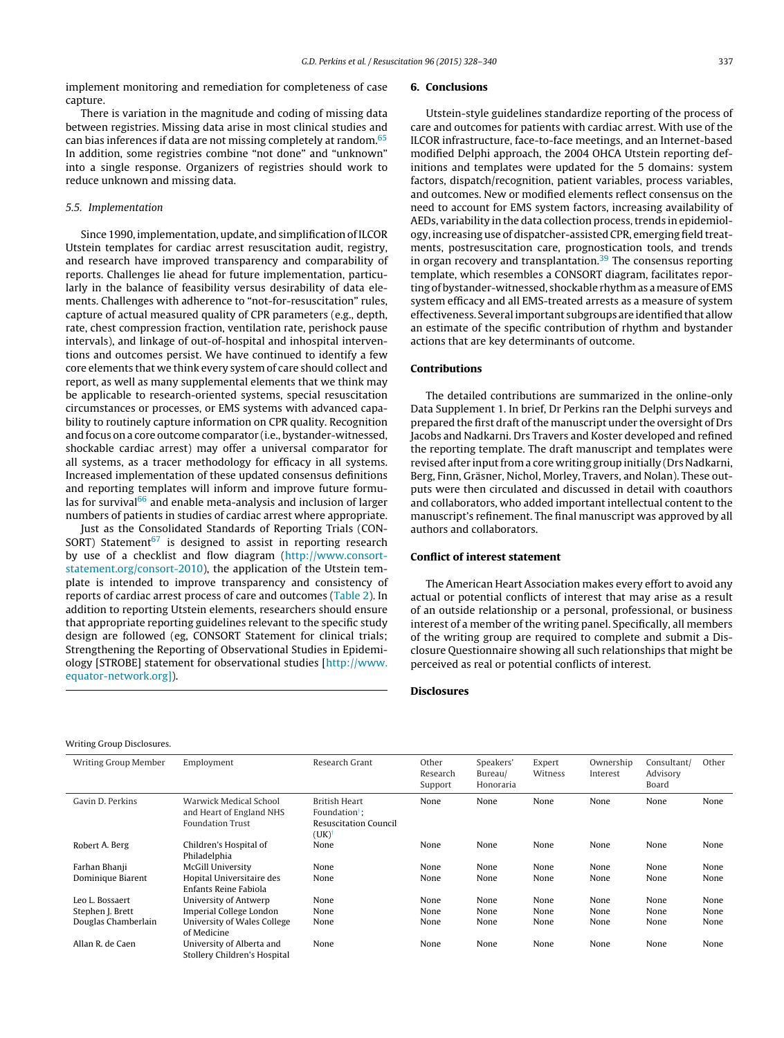implement monitoring and remediation for completeness of case capture.

There is variation in the magnitude and coding of missing data between registries. Missing data arise in most clinical studies and can bias inferences if data are not missing completely at random.<sup>[65](#page-12-0)</sup> In addition, some registries combine "not done" and "unknown" into a single response. Organizers of registries should work to reduce unknown and missing data.

# 5.5. Implementation

Writing Group Disclosures.

Since 1990, implementation, update, and simplification of ILCOR Utstein templates for cardiac arrest resuscitation audit, registry, and research have improved transparency and comparability of reports. Challenges lie ahead for future implementation, particularly in the balance of feasibility versus desirability of data elements. Challenges with adherence to "not-for-resuscitation" rules, capture of actual measured quality of CPR parameters (e.g., depth, rate, chest compression fraction, ventilation rate, perishock pause intervals), and linkage of out-of-hospital and inhospital interventions and outcomes persist. We have continued to identify a few core elements that we think every system of care should collect and report, as well as many supplemental elements that we think may be applicable to research-oriented systems, special resuscitation circumstances or processes, or EMS systems with advanced capability to routinely capture information on CPR quality. Recognition and focus on a core outcome comparator (i.e., bystander-witnessed, shockable cardiac arrest) may offer a universal comparator for all systems, as a tracer methodology for efficacy in all systems. Increased implementation of these updated consensus definitions and reporting templates will inform and improve future formulas for survival $66$  and enable meta-analysis and inclusion of larger numbers of patients in studies of cardiac arrest where appropriate.

Just as the Consolidated Standards of Reporting Trials (CON-SORT) Statement<sup>[67](#page-12-0)</sup> is designed to assist in reporting research by use of a checklist and flow diagram [\(http://www.consort](http://www.consort-statement.org/consort-2010)[statement.org/consort-2010](http://www.consort-statement.org/consort-2010)), the application of the Utstein template is intended to improve transparency and consistency of reports of cardiac arrest process of care and outcomes [\(Table](#page-8-0) 2). In addition to reporting Utstein elements, researchers should ensure that appropriate reporting guidelines relevant to the specific study design are followed (eg, CONSORT Statement for clinical trials; Strengthening the Reporting of Observational Studies in Epidemiology [STROBE] statement for observational studies [\[http://www.](http://www.equator-network.org]/) [equator-network.org\]\)](http://www.equator-network.org]/).

#### **6. Conclusions**

Utstein-style guidelines standardize reporting of the process of care and outcomes for patients with cardiac arrest. With use of the ILCOR infrastructure, face-to-face meetings, and an Internet-based modified Delphi approach, the 2004 OHCA Utstein reporting definitions and templates were updated for the 5 domains: system factors, dispatch/recognition, patient variables, process variables, and outcomes. New or modified elements reflect consensus on the need to account for EMS system factors, increasing availability of AEDs, variability in the data collection process, trends in epidemiology, increasing use of dispatcher-assisted CPR, emerging field treatments, postresuscitation care, prognostication tools, and trends in organ recovery and transplantation.<sup>[39](#page-12-0)</sup> The consensus reporting template, which resembles a CONSORT diagram, facilitates reporting of bystander-witnessed, shockable rhythm as a measure of EMS system efficacy and all EMS-treated arrests as a measure of system effectiveness. Several important subgroups are identified that allow an estimate of the specific contribution of rhythm and bystander actions that are key determinants of outcome.

#### **Contributions**

The detailed contributions are summarized in the online-only Data Supplement 1. In brief, Dr Perkins ran the Delphi surveys and prepared the first draft of the manuscript under the oversight of Drs Jacobs and Nadkarni. Drs Travers and Koster developed and refined the reporting template. The draft manuscript and templates were revised after input from a core writing group initially (Drs Nadkarni, Berg, Finn, Gräsner, Nichol, Morley, Travers, and Nolan). These outputs were then circulated and discussed in detail with coauthors and collaborators, who added important intellectual content to the manuscript's refinement. The final manuscript was approved by all authors and collaborators.

# **Conflict of interest statement**

The American Heart Association makes every effort to avoid any actual or potential conflicts of interest that may arise as a result of an outside relationship or a personal, professional, or business interest of a member of the writing panel. Specifically, all members of the writing group are required to complete and submit a Disclosure Questionnaire showing all such relationships that might be perceived as real or potential conflicts of interest.

#### **Disclosures**

| <b>Writing Group Member</b> | Employment                                                                    | Research Grant                                                                                 | Other<br>Research<br>Support | Speakers'<br>Bureau/<br>Honoraria | Expert<br>Witness | Ownership<br>Interest | Consultant/<br>Advisory<br>Board | Other |
|-----------------------------|-------------------------------------------------------------------------------|------------------------------------------------------------------------------------------------|------------------------------|-----------------------------------|-------------------|-----------------------|----------------------------------|-------|
| Gavin D. Perkins            | Warwick Medical School<br>and Heart of England NHS<br><b>Foundation Trust</b> | British Heart<br>Foundation <sup>†</sup> :<br><b>Resuscitation Council</b><br>$(UK)^{\dagger}$ | None                         | None                              | None              | None                  | None                             | None  |
| Robert A. Berg              | Children's Hospital of<br>Philadelphia                                        | None                                                                                           | None                         | None                              | None              | None                  | None                             | None  |
| Farhan Bhanji               | <b>McGill University</b>                                                      | None                                                                                           | None                         | None                              | None              | None                  | None                             | None  |
| Dominique Biarent           | Hopital Universitaire des<br>Enfants Reine Fabiola                            | None                                                                                           | None                         | None                              | None              | None                  | None                             | None  |
| Leo L. Bossaert             | University of Antwerp                                                         | None                                                                                           | None                         | None                              | None              | None                  | None                             | None  |
| Stephen J. Brett            | Imperial College London                                                       | None                                                                                           | None                         | None                              | None              | None                  | None                             | None  |
| Douglas Chamberlain         | University of Wales College<br>of Medicine                                    | None                                                                                           | None                         | None                              | None              | None                  | None                             | None  |
| Allan R. de Caen            | University of Alberta and<br>Stollery Children's Hospital                     | None                                                                                           | None                         | None                              | None              | None                  | None                             | None  |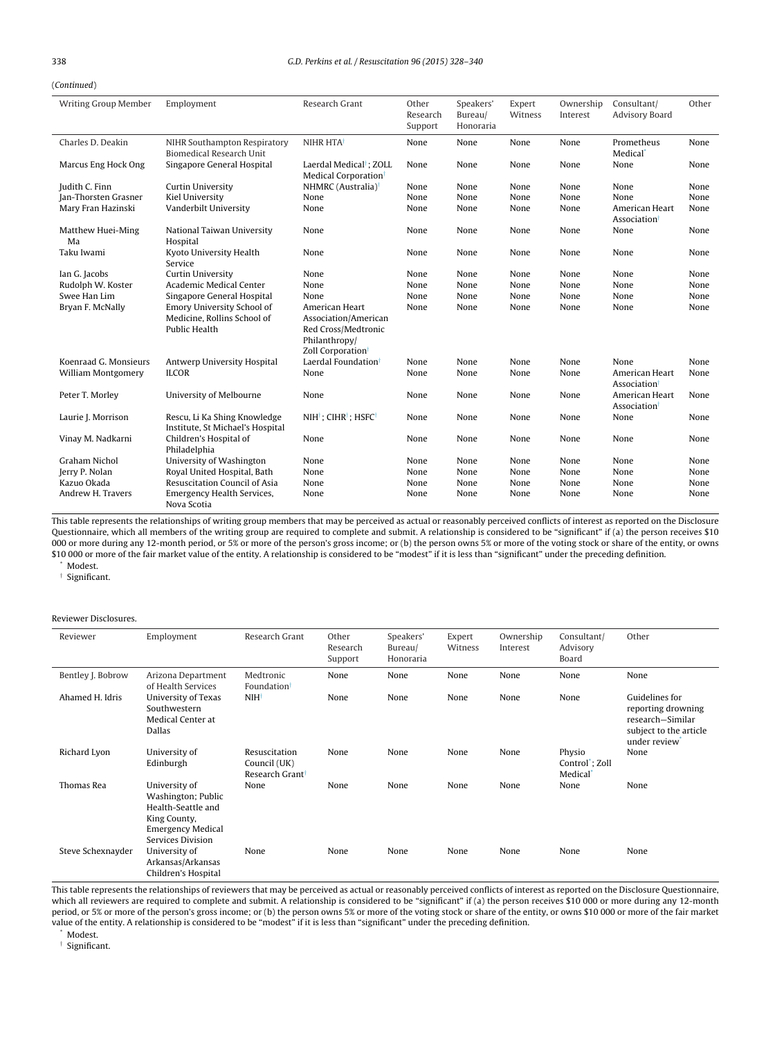<span id="page-10-0"></span>(Continued)

| <b>Writing Group Member</b> | Employment                                                                               | Research Grant                                                                                                  | Other<br>Research<br>Support | Speakers'<br>Bureau/<br>Honoraria | Expert<br>Witness | Ownership<br>Interest | Consultant/<br><b>Advisory Board</b> | Other |
|-----------------------------|------------------------------------------------------------------------------------------|-----------------------------------------------------------------------------------------------------------------|------------------------------|-----------------------------------|-------------------|-----------------------|--------------------------------------|-------|
| Charles D. Deakin           | NIHR Southampton Respiratory<br>Biomedical Research Unit                                 | NIHR HTA <sup>+</sup>                                                                                           | None                         | None                              | None              | None                  | Prometheus<br>Medical <sup>®</sup>   | None  |
| Marcus Eng Hock Ong         | Singapore General Hospital                                                               | Laerdal Medical <sup>†</sup> ; ZOLL<br>Medical Corporation <sup>†</sup>                                         | None                         | None                              | None              | None                  | None                                 | None  |
| Judith C. Finn              | <b>Curtin University</b>                                                                 | NHMRC (Australia) <sup>†</sup>                                                                                  | None                         | None                              | None              | None                  | None                                 | None  |
| Jan-Thorsten Grasner        | Kiel University                                                                          | None                                                                                                            | None                         | None                              | None              | None                  | None                                 | None  |
| Mary Fran Hazinski          | Vanderbilt University                                                                    | None                                                                                                            | None                         | None                              | None              | None                  | American Heart<br>Association        | None  |
| Matthew Huei-Ming<br>Ma     | National Taiwan University<br>Hospital                                                   | None                                                                                                            | None                         | None                              | None              | None                  | None                                 | None  |
| Taku Iwami                  | Kyoto University Health<br>Service                                                       | None                                                                                                            | None                         | None                              | None              | None                  | None                                 | None  |
| Ian G. Jacobs               | <b>Curtin University</b>                                                                 | None                                                                                                            | None                         | None                              | None              | None                  | None                                 | None  |
| Rudolph W. Koster           | Academic Medical Center                                                                  | None                                                                                                            | None                         | None                              | None              | None                  | None                                 | None  |
| Swee Han Lim                | Singapore General Hospital                                                               | None                                                                                                            | None                         | None                              | None              | None                  | None                                 | None  |
| Bryan F. McNally            | <b>Emory University School of</b><br>Medicine, Rollins School of<br><b>Public Health</b> | American Heart<br>Association/American<br>Red Cross/Medtronic<br>Philanthropy/<br>Zoll Corporation <sup>t</sup> | None                         | None                              | None              | None                  | None                                 | None  |
| Koenraad G. Monsieurs       | Antwerp University Hospital                                                              | Laerdal Foundation <sup>†</sup>                                                                                 | None                         | None                              | None              | None                  | None                                 | None  |
| William Montgomery          | <b>ILCOR</b>                                                                             | None                                                                                                            | None                         | None                              | None              | None                  | American Heart<br>Association        | None  |
| Peter T. Morley             | University of Melbourne                                                                  | None                                                                                                            | None                         | None                              | None              | None                  | American Heart<br>Association        | None  |
| Laurie J. Morrison          | Rescu, Li Ka Shing Knowledge<br>Institute, St Michael's Hospital                         | NIH <sup>†</sup> ; CIHR <sup>†</sup> ; HSFC <sup>†</sup>                                                        | None                         | None                              | None              | None                  | None                                 | None  |
| Vinay M. Nadkarni           | Children's Hospital of<br>Philadelphia                                                   | None                                                                                                            | None                         | None                              | None              | None                  | None                                 | None  |
| Graham Nichol               | University of Washington                                                                 | None                                                                                                            | None                         | None                              | None              | None                  | None                                 | None  |
| Jerry P. Nolan              | Royal United Hospital, Bath                                                              | None                                                                                                            | None                         | None                              | None              | None                  | None                                 | None  |
| Kazuo Okada                 | Resuscitation Council of Asia                                                            | None                                                                                                            | None                         | None                              | None              | None                  | None                                 | None  |
| Andrew H. Travers           | Emergency Health Services,<br>Nova Scotia                                                | None                                                                                                            | None                         | None                              | None              | None                  | None                                 | None  |

This table represents the relationships of writing group members that may be perceived as actual or reasonably perceived conflicts of interest as reported on the Disclosure Questionnaire, which all members of the writing group are required to complete and submit. A relationship is considered to be "significant" if (a) the person receives \$10 000 or more during any 12-month period, or 5% or more of the person's gross income; or (b) the person owns 5% or more of the voting stock or share of the entity, or owns \$10 000 or more of the fair market value of the entity. A relationship is considered to be "modest" if it is less than "significant" under the preceding definition.

Modest.

† Significant.

#### Reviewer Disclosures.

| Reviewer          | Employment                                                                                                                 | Research Grant                                               | Other<br>Research<br>Support | Speakers'<br>Bureau/<br>Honoraria | Expert<br>Witness | Ownership<br>Interest | Consultant/<br>Advisory<br>Board                        | Other                                                                                              |
|-------------------|----------------------------------------------------------------------------------------------------------------------------|--------------------------------------------------------------|------------------------------|-----------------------------------|-------------------|-----------------------|---------------------------------------------------------|----------------------------------------------------------------------------------------------------|
| Bentley J. Bobrow | Arizona Department<br>of Health Services                                                                                   | Medtronic<br>Foundation                                      | None                         | None                              | None              | None                  | None                                                    | None                                                                                               |
| Ahamed H. Idris   | University of Texas<br>Southwestern<br>Medical Center at<br><b>Dallas</b>                                                  | $NIH^{\dagger}$                                              | None                         | None                              | None              | None                  | None                                                    | Guidelines for<br>reporting drowning<br>research-Similar<br>subject to the article<br>under review |
| Richard Lyon      | University of<br>Edinburgh                                                                                                 | Resuscitation<br>Council (UK)<br>Research Grant <sup>†</sup> | None                         | None                              | None              | None                  | Physio<br>Control <sup>*</sup> ; Zoll<br><b>Medical</b> | None                                                                                               |
| Thomas Rea        | University of<br>Washington; Public<br>Health-Seattle and<br>King County,<br><b>Emergency Medical</b><br>Services Division | None                                                         | None                         | None                              | None              | None                  | None                                                    | None                                                                                               |
| Steve Schexnayder | University of<br>Arkansas/Arkansas<br>Children's Hospital                                                                  | None                                                         | None                         | None                              | None              | None                  | None                                                    | None                                                                                               |

This table represents the relationships of reviewers that may be perceived as actual or reasonably perceived conflicts of interest as reported on the Disclosure Questionnaire, which all reviewers are required to complete and submit. A relationship is considered to be "significant" if (a) the person receives \$10 000 or more during any 12-month period, or 5% or more of the person's gross income; or (b) the person owns 5% or more of the voting stock or share of the entity, or owns \$10 000 or more of the fair market value of the entity. A relationship is considered to be "modest" if it is less than "significant" under the preceding definition.

Modest.

† Significant.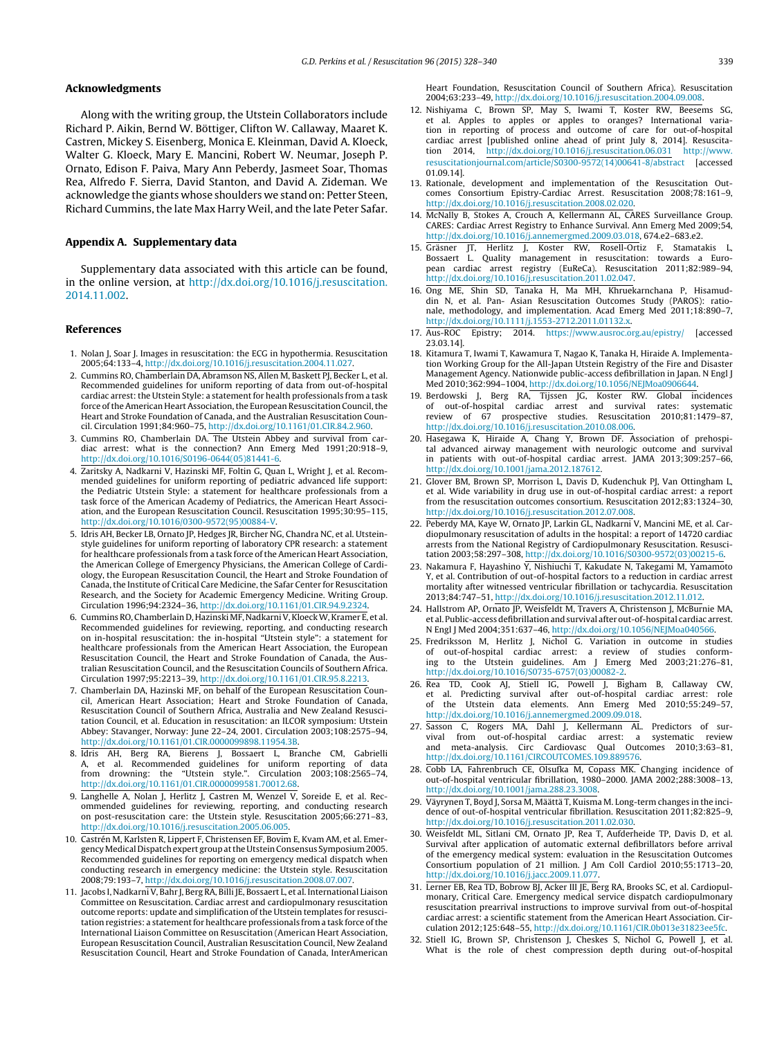# <span id="page-11-0"></span>**Acknowledgments**

Along with the writing group, the Utstein Collaborators include Richard P. Aikin, Bernd W. Böttiger, Clifton W. Callaway, Maaret K. Castren, Mickey S. Eisenberg, Monica E. Kleinman, David A. Kloeck, Walter G. Kloeck, Mary E. Mancini, Robert W. Neumar, Joseph P. Ornato, Edison F. Paiva, Mary Ann Peberdy, Jasmeet Soar, Thomas Rea, Alfredo F. Sierra, David Stanton, and David A. Zideman. We acknowledge the giants whose shoulders we stand on: Petter Steen, Richard Cummins, the late Max Harry Weil, and the late Peter Safar.

# **Appendix A. Supplementary data**

Supplementary data associated with this article can be found, in the online version, at [http://dx.doi.org/10.1016/j.resuscitation.](http://dx.doi.org/10.1016/j.resuscitation.2014.11.002) [2014.11.002.](http://dx.doi.org/10.1016/j.resuscitation.2014.11.002)

#### **References**

- 1. Nolan J, Soar J. Images in resuscitation: the ECG in hypothermia. Resuscitation 2005;64:133–4, [http://dx.doi.org/10.1016/j.resuscitation.2004.11.027.](dx.doi.org/10.1016/j.resuscitation.2004.11.027)
- 2. Cummins RO, Chamberlain DA, Abramson NS, Allen M, Baskett PL Becker L, et al. Recommended guidelines for uniform reporting of data from out-of-hospital cardiac arrest: the Utstein Style: a statement for health professionals from a task force of the American Heart Association, the European Resuscitation Council, the Heart and Stroke Foundation of Canada, and the Australian Resuscitation Council. Circulation 1991;84:960–75, [http://dx.doi.org/10.1161/01.CIR.84.2.960.](dx.doi.org/10.1161/01.CIR.84.2.960)
- 3. Cummins RO, Chamberlain DA. The Utstein Abbey and survival from cardiac arrest: what is the connection? Ann Emerg Med 1991;20:918–9, [http://dx.doi.org/10.1016/S0196-0644\(05\)81441-6.](dx.doi.org/10.1016/S0196-0644(05)81441-6)
- 4. Zaritsky A, Nadkarni V, Hazinski MF, Foltin G, Quan L, Wright J, et al. Recommended guidelines for uniform reporting of pediatric advanced life support: the Pediatric Utstein Style: a statement for healthcare professionals from a task force of the American Academy of Pediatrics, the American Heart Association, and the European Resuscitation Council. Resuscitation 1995;30:95–115, [http://dx.doi.org/10.1016/0300-9572\(95\)00884-V.](dx.doi.org/10.1016/0300-9572(95)00884-V)
- 5. Idris AH, Becker LB, Ornato JP, Hedges JR, Bircher NG, Chandra NC, et al. Utsteinstyle guidelines for uniform reporting of laboratory CPR research: a statement for healthcare professionals from a task force of the American Heart Association, the American College of Emergency Physicians, the American College of Cardiology, the European Resuscitation Council, the Heart and Stroke Foundation of Canada, the Institute of Critical Care Medicine, the Safar Center for Resuscitation Research, and the Society for Academic Emergency Medicine. Writing Group. Circulation 1996;94:2324–36, [http://dx.doi.org/10.1161/01.CIR.94.9.2324](dx.doi.org/10.1161/01.CIR.94.9.2324).
- 6. Cummins RO, Chamberlain D, Hazinski MF, Nadkarni V, Kloeck W, Kramer E, et al. Recommended guidelines for reviewing, reporting, and conducting research on in-hospital resuscitation: the in-hospital "Utstein style": a statement for healthcare professionals from the American Heart Association, the European Resuscitation Council, the Heart and Stroke Foundation of Canada, the Australian Resuscitation Council, and the Resuscitation Councils of Southern Africa. Circulation 1997;95:2213–39, [http://dx.doi.org/10.1161/01.CIR.95.8.2213](dx.doi.org/10.1161/01.CIR.95.8.2213).
- 7. Chamberlain DA, Hazinski MF, on behalf of the European Resuscitation Council, American Heart Association; Heart and Stroke Foundation of Canada, Resuscitation Council of Southern Africa, Australia and New Zealand Resuscitation Council, et al. Education in resuscitation: an ILCOR symposium: Utstein Abbey: Stavanger, Norway: June 22–24, 2001. Circulation 2003;108:2575–94, [http://dx.doi.org/10.1161/01.CIR.0000099898.11954.3B.](dx.doi.org/10.1161/01.CIR.0000099898.11954.3B)
- 8. Idris AH, Berg RA, Bierens J, Bossaert L, Branche CM, Gabrielli A, et al. Recommended guidelines for uniform reporting of data from drowning: the "Utstein style.". Circulation 2003;108:2565–74, [http://dx.doi.org/10.1161/01.CIR.0000099581.70012.68.](dx.doi.org/10.1161/01.CIR.0000099581.70012.68)
- 9. Langhelle A, Nolan J, Herlitz J, Castren M, Wenzel V, Soreide E, et al. Recommended guidelines for reviewing, reporting, and conducting research on post-resuscitation care: the Utstein style. Resuscitation 2005;66:271–83, [http://dx.doi.org/10.1016/j.resuscitation.2005.06.005.](dx.doi.org/10.1016/j.resuscitation.2005.06.005)
- 10. Castrén M, Karlsten R, Lippert F, Christensen EF, Bovim E, Kvam AM, et al. Emergency Medical Dispatch expert group at the Utstein Consensus Symposium 2005. Recommended guidelines for reporting on emergency medical dispatch when conducting research in emergency medicine: the Utstein style. Resuscitation 2008;79:193–7, [http://dx.doi.org/10.1016/j.resuscitation.2008.07.007.](dx.doi.org/10.1016/j.resuscitation.2008.07.007)
- 11. Jacobs I, Nadkarni V, Bahr J, Berg RA, Billi JE, Bossaert L, et al. International Liaison Committee on Resuscitation. Cardiac arrest and cardiopulmonary resuscitation outcome reports: update and simplification of the Utstein templates for resuscitation registries: a statement for healthcare professionals from a task force of the International Liaison Committee on Resuscitation (American Heart Association, European Resuscitation Council, Australian Resuscitation Council, New Zealand Resuscitation Council, Heart and Stroke Foundation of Canada, InterAmerican

Heart Foundation, Resuscitation Council of Southern Africa). Resuscitation 2004;63:233–49, [http://dx.doi.org/10.1016/j.resuscitation.2004.09.008.](dx.doi.org/10.1016/j.resuscitation.2004.09.008)

- 12. Nishiyama C, Brown SP, May S, Iwami T, Koster RW, Beesems SG, et al. Apples to apples or apples to oranges? International variation in reporting of process and outcome of care for out-of-hospital cardiac arrest [published online ahead of print July 8, 2014]. Resuscitation 2014, [http://dx.doi.org/10.1016/j.resuscitation.06.031](dx.doi.org/10.1016/j.resuscitation.06.031) [http://www.](http://www.resuscitationjournal.com/article/S0300-9572(14)00641-8/abstract) [resuscitationjournal.com/article/S0300-9572\(14\)00641-8/abstract](http://www.resuscitationjournal.com/article/S0300-9572(14)00641-8/abstract) [accessed 01.09.14].
- 13. Rationale, development and implementation of the Resuscitation Outcomes Consortium Epistry-Cardiac Arrest. Resuscitation 2008;78:161–9, [http://dx.doi.org/10.1016/j.resuscitation.2008.02.020](dx.doi.org/10.1016/j.resuscitation.2008.02.020).
- 14. McNally B, Stokes A, Crouch A, Kellermann AL, CARES Surveillance Group. CARES: Cardiac Arrest Registry to Enhance Survival. Ann Emerg Med 2009;54, [http://dx.doi.org/10.1016/j.annemergmed.2009.03.018](dx.doi.org/10.1016/j.annemergmed.2009.03.018), 674.e2–683.e2.
- 15. Gräsner JT, Herlitz J, Koster RW, Rosell-Ortiz F, Stamatakis L, Quality management in resuscitation: towards a European cardiac arrest registry (EuReCa). Resuscitation 2011;82:989–94, [http://dx.doi.org/10.1016/j.resuscitation.2011.02.047](dx.doi.org/10.1016/j.resuscitation.2011.02.047).
- 16. Ong ME, Shin SD, Tanaka H, Ma MH, Khruekarnchana P, Hisamuddin N, et al. Pan- Asian Resuscitation Outcomes Study (PAROS): rationale, methodology, and implementation. Acad Emerg Med 2011;18:890–7, [http://dx.doi.org/10.1111/j.1553-2712.2011.01132.x.](dx.doi.org/10.1111/j.1553-2712.2011.01132.x)
- 17. Aus-ROC Epistry; 2014. <https://www.ausroc.org.au/epistry/> [accessed 23.03.14].
- 18. Kitamura T, Iwami T, Kawamura T, Nagao K, Tanaka H, Hiraide A. Implementation Working Group for the All-Japan Utstein Registry of the Fire and Disaster Management Agency. Nationwide public-access defibrillation in Japan. N Engl J Med 2010;362:994–1004, [http://dx.doi.org/10.1056/NEJMoa0906644.](dx.doi.org/10.1056/NEJMoa0906644)
- 19. Berdowski J, Berg RA, Tijssen JG, Koster RW. Global incidences of out-of-hospital cardiac arrest and survival rates: systematic review of 67 prospective studies. Resuscitation 2010;81:1479–87, [http://dx.doi.org/10.1016/j.resuscitation.2010.08.006](dx.doi.org/10.1016/j.resuscitation.2010.08.006).
- 20. Hasegawa K, Hiraide A, Chang Y, Brown DF. Association of prehospital advanced airway management with neurologic outcome and survival in patients with out-of-hospital cardiac arrest. JAMA 2013;309:257–66, [http://dx.doi.org/10.1001/jama.2012.187612](dx.doi.org/10.1001/jama.2012.187612).
- 21. Glover BM, Brown SP, Morrison L, Davis D, Kudenchuk PJ, Van Ottingham L, et al. Wide variability in drug use in out-of-hospital cardiac arrest: a report from the resuscitation outcomes consortium. Resuscitation 2012;83:1324–30, [http://dx.doi.org/10.1016/j.resuscitation.2012.07.008](dx.doi.org/10.1016/j.resuscitation.2012.07.008).
- 22. Peberdy MA, Kaye W, Ornato JP, Larkin GL, Nadkarni V, Mancini ME, et al. Cardiopulmonary resuscitation of adults in the hospital: a report of 14720 cardiac arrests from the National Registry of Cardiopulmonary Resuscitation. Resuscitation 2003;58:297–308, [http://dx.doi.org/10.1016/S0300-9572\(03\)00215-6.](dx.doi.org/10.1016/S0300-9572(03)00215-6)
- 23. Nakamura F, Hayashino Y, Nishiuchi T, Kakudate N, Takegami M, Yamamoto Y, et al. Contribution of out-of-hospital factors to a reduction in cardiac arrest mortality after witnessed ventricular fibrillation or tachycardia. Resuscitation 2013;84:747–51, [http://dx.doi.org/10.1016/j.resuscitation.2012.11.012](dx.doi.org/10.1016/j.resuscitation.2012.11.012).
- 24. Hallstrom AP, Ornato JP, Weisfeldt M, Travers A, Christenson J, McBurnie MA, et al. Public-access defibrillation and survival after out-of-hospital cardiac arrest. N Engl J Med 2004;351:637–46, [http://dx.doi.org/10.1056/NEJMoa040566](dx.doi.org/10.1056/NEJMoa040566).
- 25. Fredriksson M, Herlitz J, Nichol G. Variation in outcome in studies of out-of-hospital cardiac arrest: a review of studies conforming to the Utstein guidelines. Am J Emerg Med 2003;21:276–81, [http://dx.doi.org/10.1016/S0735-6757\(03\)00082-2](dx.doi.org/10.1016/S0735-6757(03)00082-2).
- 26. Rea TD, Cook AJ, Stiell IG, Powell J, Bigham B, Callaway CW, et al. Predicting survival after out-of-hospital cardiac arrest: role of the Utstein data elements. Ann Emerg Med 2010;55:249–57, [http://dx.doi.org/10.1016/j.annemergmed.2009.09.018](dx.doi.org/10.1016/j.annemergmed.2009.09.018).
- 27. Sasson C, Rogers MA, Dahl J, Kellermann AL. Predictors of survival from out-of-hospital cardiac arrest: a systematic review and meta-analysis. Circ Cardiovasc Qual Outcomes 2010;3:63–81, [http://dx.doi.org/10.1161/CIRCOUTCOMES.109.889576](dx.doi.org/10.1161/CIRCOUTCOMES.109.889576).
- 28. Cobb LA, Fahrenbruch CE, Olsufka M, Copass MK. Changing incidence of out-of-hospital ventricular fibrillation, 1980–2000. JAMA 2002;288:3008–13, [http://dx.doi.org/10.1001/jama.288.23.3008](dx.doi.org/10.1001/jama.288.23.3008).
- 29. Väyrynen T, Boyd J, Sorsa M, Määttä T, Kuisma M. Long-term changes in the incidence of out-of-hospital ventricular fibrillation. Resuscitation 2011;82:825–9, [http://dx.doi.org/10.1016/j.resuscitation.2011.02.030](dx.doi.org/10.1016/j.resuscitation.2011.02.030).
- 30. Weisfeldt ML, Sitlani CM, Ornato JP, Rea T, Aufderheide TP, Davis D, et al. Survival after application of automatic external defibrillators before arrival of the emergency medical system: evaluation in the Resuscitation Outcomes Consortium population of 21 million. J Am Coll Cardiol 2010;55:1713–20, [http://dx.doi.org/10.1016/j.jacc.2009.11.077.](dx.doi.org/10.1016/j.jacc.2009.11.077)
- 31. Lerner EB, Rea TD, Bobrow BJ, Acker III JE, Berg RA, Brooks SC, et al. Cardiopulmonary, Critical Care. Emergency medical service dispatch cardiopulmonary resuscitation prearrival instructions to improve survival from out-of-hospital cardiac arrest: a scientific statement from the American Heart Association. Circulation 2012;125:648–55, [http://dx.doi.org/10.1161/CIR.0b013e31823ee5fc.](dx.doi.org/10.1161/CIR.0b013e31823ee5fc)
- 32. Stiell IG, Brown SP, Christenson J, Cheskes S, Nichol G, Powell J, et al. What is the role of chest compression depth during out-of-hospital